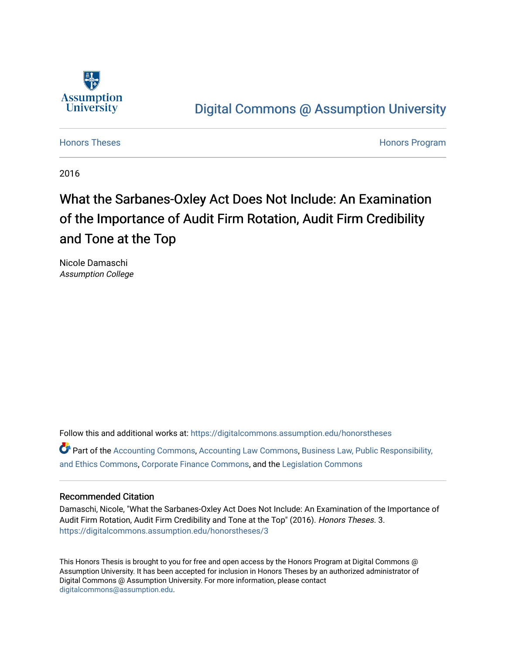

## [Digital Commons @ Assumption University](https://digitalcommons.assumption.edu/)

[Honors Theses](https://digitalcommons.assumption.edu/honorstheses) **Honors** Program

2016

# What the Sarbanes-Oxley Act Does Not Include: An Examination of the Importance of Audit Firm Rotation, Audit Firm Credibility and Tone at the Top

Nicole Damaschi Assumption College

Follow this and additional works at: [https://digitalcommons.assumption.edu/honorstheses](https://digitalcommons.assumption.edu/honorstheses?utm_source=digitalcommons.assumption.edu%2Fhonorstheses%2F3&utm_medium=PDF&utm_campaign=PDFCoverPages)

 $\bullet$  Part of the [Accounting Commons](http://network.bepress.com/hgg/discipline/625?utm_source=digitalcommons.assumption.edu%2Fhonorstheses%2F3&utm_medium=PDF&utm_campaign=PDFCoverPages), [Accounting Law Commons,](http://network.bepress.com/hgg/discipline/828?utm_source=digitalcommons.assumption.edu%2Fhonorstheses%2F3&utm_medium=PDF&utm_campaign=PDFCoverPages) Business Law, Public Responsibility, [and Ethics Commons,](http://network.bepress.com/hgg/discipline/628?utm_source=digitalcommons.assumption.edu%2Fhonorstheses%2F3&utm_medium=PDF&utm_campaign=PDFCoverPages) [Corporate Finance Commons,](http://network.bepress.com/hgg/discipline/629?utm_source=digitalcommons.assumption.edu%2Fhonorstheses%2F3&utm_medium=PDF&utm_campaign=PDFCoverPages) and the [Legislation Commons](http://network.bepress.com/hgg/discipline/859?utm_source=digitalcommons.assumption.edu%2Fhonorstheses%2F3&utm_medium=PDF&utm_campaign=PDFCoverPages) 

### Recommended Citation

Damaschi, Nicole, "What the Sarbanes-Oxley Act Does Not Include: An Examination of the Importance of Audit Firm Rotation, Audit Firm Credibility and Tone at the Top" (2016). Honors Theses. 3. [https://digitalcommons.assumption.edu/honorstheses/3](https://digitalcommons.assumption.edu/honorstheses/3?utm_source=digitalcommons.assumption.edu%2Fhonorstheses%2F3&utm_medium=PDF&utm_campaign=PDFCoverPages) 

This Honors Thesis is brought to you for free and open access by the Honors Program at Digital Commons @ Assumption University. It has been accepted for inclusion in Honors Theses by an authorized administrator of Digital Commons @ Assumption University. For more information, please contact [digitalcommons@assumption.edu](mailto:digitalcommons@assumption.edu).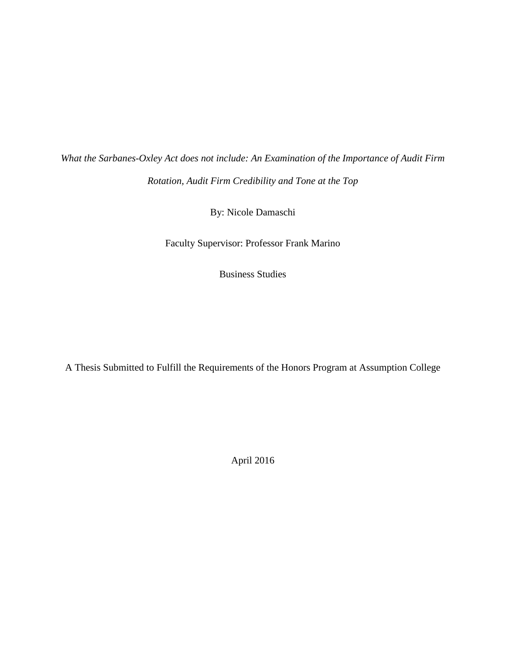*What the Sarbanes-Oxley Act does not include: An Examination of the Importance of Audit Firm Rotation, Audit Firm Credibility and Tone at the Top* 

By: Nicole Damaschi

Faculty Supervisor: Professor Frank Marino

Business Studies

A Thesis Submitted to Fulfill the Requirements of the Honors Program at Assumption College

April 2016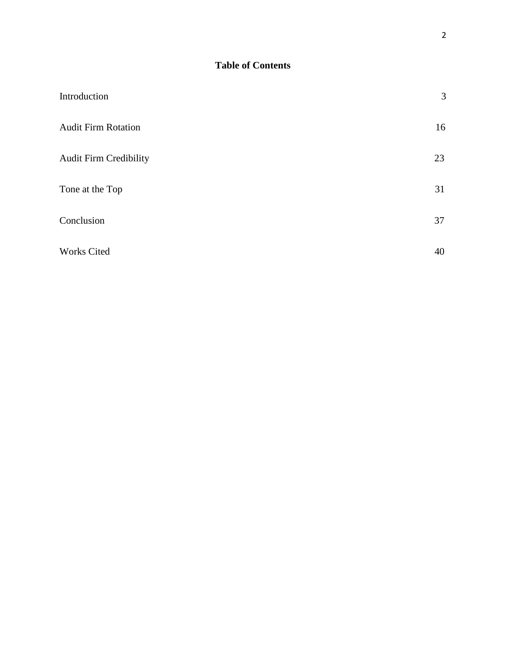| Introduction                  | 3  |
|-------------------------------|----|
| <b>Audit Firm Rotation</b>    | 16 |
| <b>Audit Firm Credibility</b> | 23 |
| Tone at the Top               | 31 |
| Conclusion                    | 37 |
| Works Cited                   | 40 |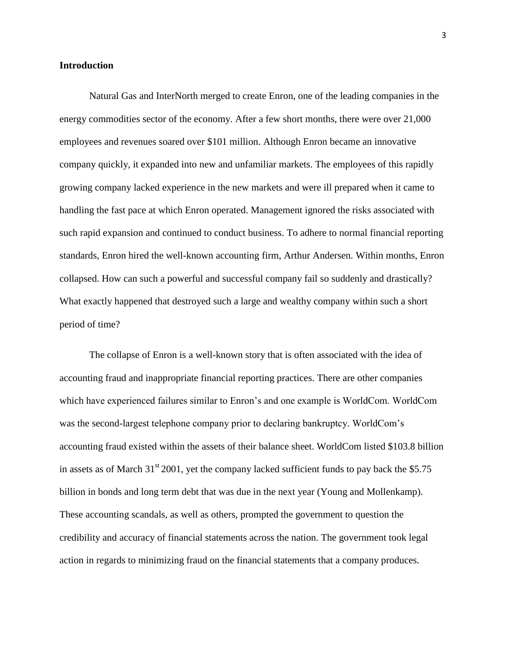#### **Introduction**

Natural Gas and InterNorth merged to create Enron, one of the leading companies in the energy commodities sector of the economy. After a few short months, there were over 21,000 employees and revenues soared over \$101 million. Although Enron became an innovative company quickly, it expanded into new and unfamiliar markets. The employees of this rapidly growing company lacked experience in the new markets and were ill prepared when it came to handling the fast pace at which Enron operated. Management ignored the risks associated with such rapid expansion and continued to conduct business. To adhere to normal financial reporting standards, Enron hired the well-known accounting firm, Arthur Andersen. Within months, Enron collapsed. How can such a powerful and successful company fail so suddenly and drastically? What exactly happened that destroyed such a large and wealthy company within such a short period of time?

The collapse of Enron is a well-known story that is often associated with the idea of accounting fraud and inappropriate financial reporting practices. There are other companies which have experienced failures similar to Enron's and one example is WorldCom. WorldCom was the second-largest telephone company prior to declaring bankruptcy. WorldCom's accounting fraud existed within the assets of their balance sheet. WorldCom listed \$103.8 billion in assets as of March  $31<sup>st</sup> 2001$ , yet the company lacked sufficient funds to pay back the \$5.75 billion in bonds and long term debt that was due in the next year (Young and Mollenkamp). These accounting scandals, as well as others, prompted the government to question the credibility and accuracy of financial statements across the nation. The government took legal action in regards to minimizing fraud on the financial statements that a company produces.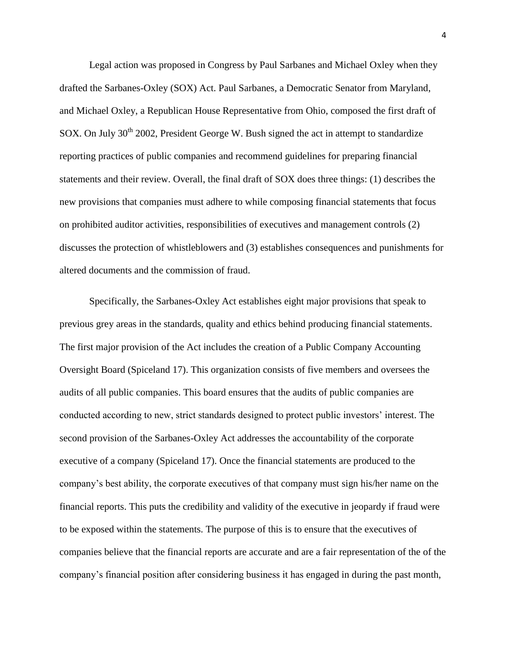Legal action was proposed in Congress by Paul Sarbanes and Michael Oxley when they drafted the Sarbanes-Oxley (SOX) Act. Paul Sarbanes, a Democratic Senator from Maryland, and Michael Oxley, a Republican House Representative from Ohio, composed the first draft of SOX. On July 30<sup>th</sup> 2002, President George W. Bush signed the act in attempt to standardize reporting practices of public companies and recommend guidelines for preparing financial statements and their review. Overall, the final draft of SOX does three things: (1) describes the new provisions that companies must adhere to while composing financial statements that focus on prohibited auditor activities, responsibilities of executives and management controls (2) discusses the protection of whistleblowers and (3) establishes consequences and punishments for altered documents and the commission of fraud.

Specifically, the Sarbanes-Oxley Act establishes eight major provisions that speak to previous grey areas in the standards, quality and ethics behind producing financial statements. The first major provision of the Act includes the creation of a Public Company Accounting Oversight Board (Spiceland 17). This organization consists of five members and oversees the audits of all public companies. This board ensures that the audits of public companies are conducted according to new, strict standards designed to protect public investors' interest. The second provision of the Sarbanes-Oxley Act addresses the accountability of the corporate executive of a company (Spiceland 17). Once the financial statements are produced to the company's best ability, the corporate executives of that company must sign his/her name on the financial reports. This puts the credibility and validity of the executive in jeopardy if fraud were to be exposed within the statements. The purpose of this is to ensure that the executives of companies believe that the financial reports are accurate and are a fair representation of the of the company's financial position after considering business it has engaged in during the past month,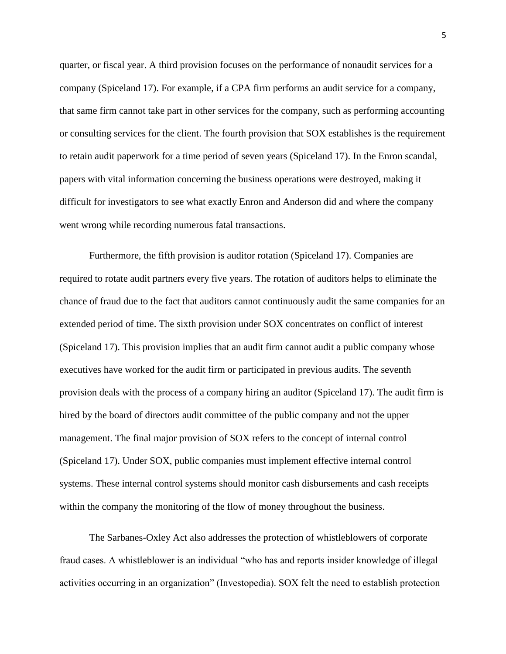quarter, or fiscal year. A third provision focuses on the performance of nonaudit services for a company (Spiceland 17). For example, if a CPA firm performs an audit service for a company, that same firm cannot take part in other services for the company, such as performing accounting or consulting services for the client. The fourth provision that SOX establishes is the requirement to retain audit paperwork for a time period of seven years (Spiceland 17). In the Enron scandal, papers with vital information concerning the business operations were destroyed, making it difficult for investigators to see what exactly Enron and Anderson did and where the company went wrong while recording numerous fatal transactions.

Furthermore, the fifth provision is auditor rotation (Spiceland 17). Companies are required to rotate audit partners every five years. The rotation of auditors helps to eliminate the chance of fraud due to the fact that auditors cannot continuously audit the same companies for an extended period of time. The sixth provision under SOX concentrates on conflict of interest (Spiceland 17). This provision implies that an audit firm cannot audit a public company whose executives have worked for the audit firm or participated in previous audits. The seventh provision deals with the process of a company hiring an auditor (Spiceland 17). The audit firm is hired by the board of directors audit committee of the public company and not the upper management. The final major provision of SOX refers to the concept of internal control (Spiceland 17). Under SOX, public companies must implement effective internal control systems. These internal control systems should monitor cash disbursements and cash receipts within the company the monitoring of the flow of money throughout the business.

The Sarbanes-Oxley Act also addresses the protection of whistleblowers of corporate fraud cases. A whistleblower is an individual "who has and reports insider knowledge of illegal activities occurring in an organization" (Investopedia). SOX felt the need to establish protection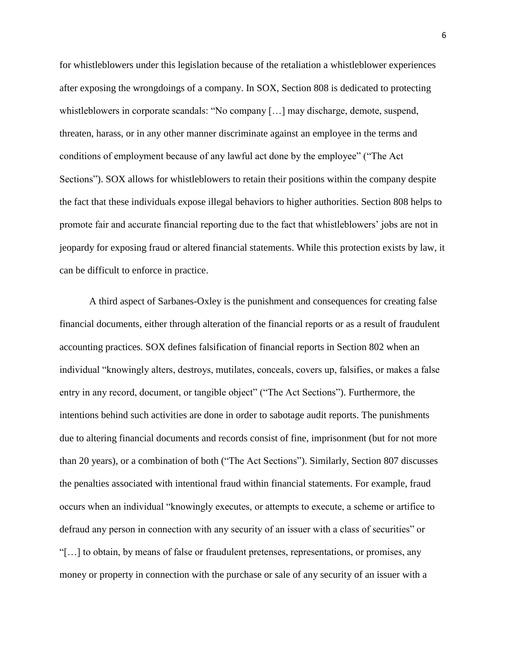for whistleblowers under this legislation because of the retaliation a whistleblower experiences after exposing the wrongdoings of a company. In SOX, Section 808 is dedicated to protecting whistleblowers in corporate scandals: "No company [...] may discharge, demote, suspend, threaten, harass, or in any other manner discriminate against an employee in the terms and conditions of employment because of any lawful act done by the employee" ("The Act Sections"). SOX allows for whistleblowers to retain their positions within the company despite the fact that these individuals expose illegal behaviors to higher authorities. Section 808 helps to promote fair and accurate financial reporting due to the fact that whistleblowers' jobs are not in jeopardy for exposing fraud or altered financial statements. While this protection exists by law, it can be difficult to enforce in practice.

A third aspect of Sarbanes-Oxley is the punishment and consequences for creating false financial documents, either through alteration of the financial reports or as a result of fraudulent accounting practices. SOX defines falsification of financial reports in Section 802 when an individual "knowingly alters, destroys, mutilates, conceals, covers up, falsifies, or makes a false entry in any record, document, or tangible object" ("The Act Sections"). Furthermore, the intentions behind such activities are done in order to sabotage audit reports. The punishments due to altering financial documents and records consist of fine, imprisonment (but for not more than 20 years), or a combination of both ("The Act Sections"). Similarly, Section 807 discusses the penalties associated with intentional fraud within financial statements. For example, fraud occurs when an individual "knowingly executes, or attempts to execute, a scheme or artifice to defraud any person in connection with any security of an issuer with a class of securities" or "[…] to obtain, by means of false or fraudulent pretenses, representations, or promises, any money or property in connection with the purchase or sale of any security of an issuer with a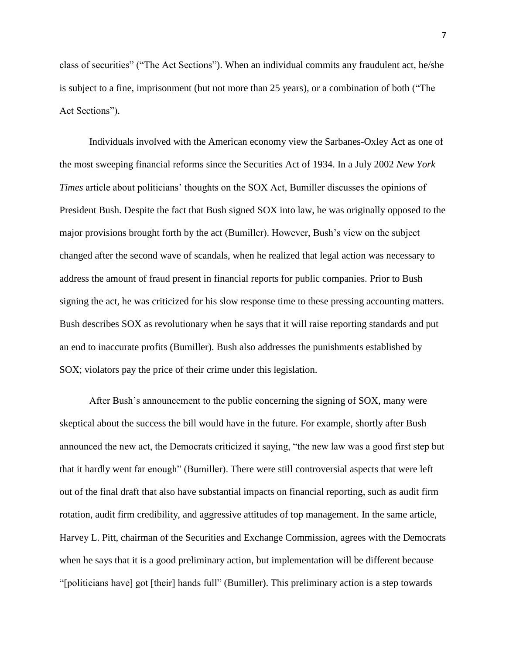class of securities" ("The Act Sections"). When an individual commits any fraudulent act, he/she is subject to a fine, imprisonment (but not more than 25 years), or a combination of both ("The Act Sections").

Individuals involved with the American economy view the Sarbanes-Oxley Act as one of the most sweeping financial reforms since the Securities Act of 1934. In a July 2002 *New York Times* article about politicians' thoughts on the SOX Act, Bumiller discusses the opinions of President Bush. Despite the fact that Bush signed SOX into law, he was originally opposed to the major provisions brought forth by the act (Bumiller). However, Bush's view on the subject changed after the second wave of scandals, when he realized that legal action was necessary to address the amount of fraud present in financial reports for public companies. Prior to Bush signing the act, he was criticized for his slow response time to these pressing accounting matters. Bush describes SOX as revolutionary when he says that it will raise reporting standards and put an end to inaccurate profits (Bumiller). Bush also addresses the punishments established by SOX; violators pay the price of their crime under this legislation.

After Bush's announcement to the public concerning the signing of SOX, many were skeptical about the success the bill would have in the future. For example, shortly after Bush announced the new act, the Democrats criticized it saying, "the new law was a good first step but that it hardly went far enough" (Bumiller). There were still controversial aspects that were left out of the final draft that also have substantial impacts on financial reporting, such as audit firm rotation, audit firm credibility, and aggressive attitudes of top management. In the same article, Harvey L. Pitt, chairman of the Securities and Exchange Commission, agrees with the Democrats when he says that it is a good preliminary action, but implementation will be different because "[politicians have] got [their] hands full" (Bumiller). This preliminary action is a step towards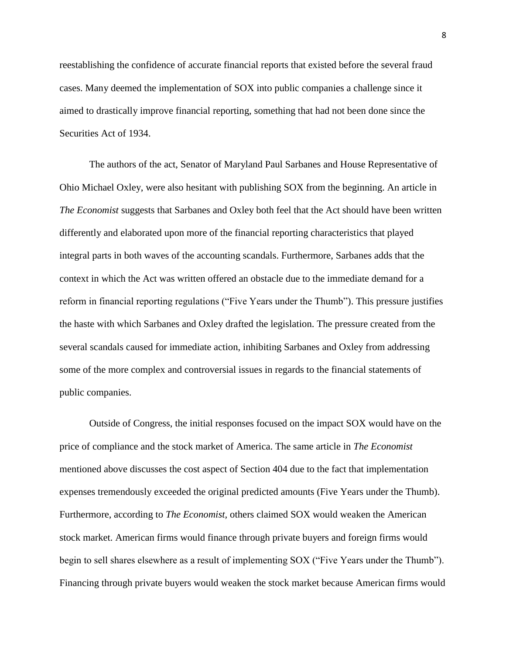reestablishing the confidence of accurate financial reports that existed before the several fraud cases. Many deemed the implementation of SOX into public companies a challenge since it aimed to drastically improve financial reporting, something that had not been done since the Securities Act of 1934.

The authors of the act, Senator of Maryland Paul Sarbanes and House Representative of Ohio Michael Oxley, were also hesitant with publishing SOX from the beginning. An article in *The Economist* suggests that Sarbanes and Oxley both feel that the Act should have been written differently and elaborated upon more of the financial reporting characteristics that played integral parts in both waves of the accounting scandals. Furthermore, Sarbanes adds that the context in which the Act was written offered an obstacle due to the immediate demand for a reform in financial reporting regulations ("Five Years under the Thumb"). This pressure justifies the haste with which Sarbanes and Oxley drafted the legislation. The pressure created from the several scandals caused for immediate action, inhibiting Sarbanes and Oxley from addressing some of the more complex and controversial issues in regards to the financial statements of public companies.

Outside of Congress, the initial responses focused on the impact SOX would have on the price of compliance and the stock market of America. The same article in *The Economist* mentioned above discusses the cost aspect of Section 404 due to the fact that implementation expenses tremendously exceeded the original predicted amounts (Five Years under the Thumb). Furthermore, according to *The Economist,* others claimed SOX would weaken the American stock market. American firms would finance through private buyers and foreign firms would begin to sell shares elsewhere as a result of implementing SOX ("Five Years under the Thumb"). Financing through private buyers would weaken the stock market because American firms would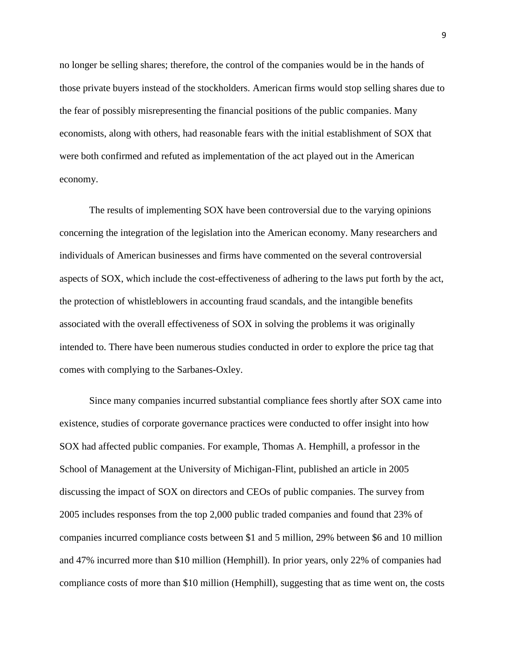no longer be selling shares; therefore, the control of the companies would be in the hands of those private buyers instead of the stockholders. American firms would stop selling shares due to the fear of possibly misrepresenting the financial positions of the public companies. Many economists, along with others, had reasonable fears with the initial establishment of SOX that were both confirmed and refuted as implementation of the act played out in the American economy.

The results of implementing SOX have been controversial due to the varying opinions concerning the integration of the legislation into the American economy. Many researchers and individuals of American businesses and firms have commented on the several controversial aspects of SOX, which include the cost-effectiveness of adhering to the laws put forth by the act, the protection of whistleblowers in accounting fraud scandals, and the intangible benefits associated with the overall effectiveness of SOX in solving the problems it was originally intended to. There have been numerous studies conducted in order to explore the price tag that comes with complying to the Sarbanes-Oxley.

Since many companies incurred substantial compliance fees shortly after SOX came into existence, studies of corporate governance practices were conducted to offer insight into how SOX had affected public companies. For example, Thomas A. Hemphill, a professor in the School of Management at the University of Michigan-Flint, published an article in 2005 discussing the impact of SOX on directors and CEOs of public companies. The survey from 2005 includes responses from the top 2,000 public traded companies and found that 23% of companies incurred compliance costs between \$1 and 5 million, 29% between \$6 and 10 million and 47% incurred more than \$10 million (Hemphill). In prior years, only 22% of companies had compliance costs of more than \$10 million (Hemphill), suggesting that as time went on, the costs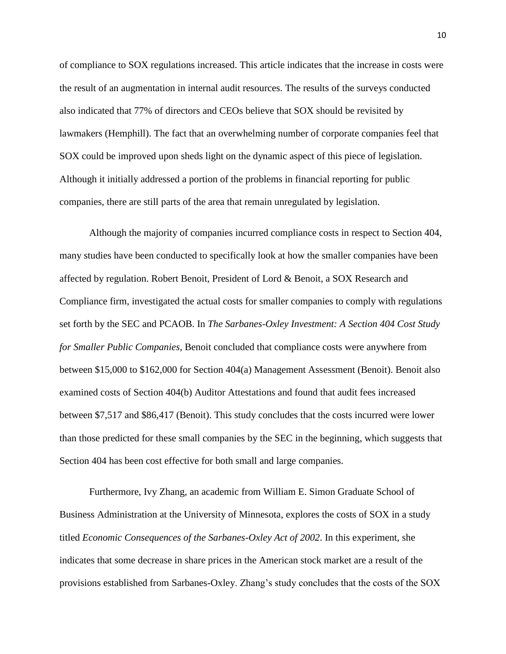of compliance to SOX regulations increased. This article indicates that the increase in costs were the result of an augmentation in internal audit resources. The results of the surveys conducted also indicated that 77% of directors and CEOs believe that SOX should be revisited by lawmakers (Hemphill). The fact that an overwhelming number of corporate companies feel that SOX could be improved upon sheds light on the dynamic aspect of this piece of legislation. Although it initially addressed a portion of the problems in financial reporting for public companies, there are still parts of the area that remain unregulated by legislation.

Although the majority of companies incurred compliance costs in respect to Section 404, many studies have been conducted to specifically look at how the smaller companies have been affected by regulation. Robert Benoit, President of Lord & Benoit, a SOX Research and Compliance firm, investigated the actual costs for smaller companies to comply with regulations set forth by the SEC and PCAOB. In *The Sarbanes-Oxley Investment: A Section 404 Cost Study for Smaller Public Companies,* Benoit concluded that compliance costs were anywhere from between \$15,000 to \$162,000 for Section 404(a) Management Assessment (Benoit). Benoit also examined costs of Section 404(b) Auditor Attestations and found that audit fees increased between \$7,517 and \$86,417 (Benoit). This study concludes that the costs incurred were lower than those predicted for these small companies by the SEC in the beginning, which suggests that Section 404 has been cost effective for both small and large companies.

Furthermore, Ivy Zhang, an academic from William E. Simon Graduate School of Business Administration at the University of Minnesota, explores the costs of SOX in a study titled *Economic Consequences of the Sarbanes-Oxley Act of 2002*. In this experiment, she indicates that some decrease in share prices in the American stock market are a result of the provisions established from Sarbanes-Oxley. Zhang's study concludes that the costs of the SOX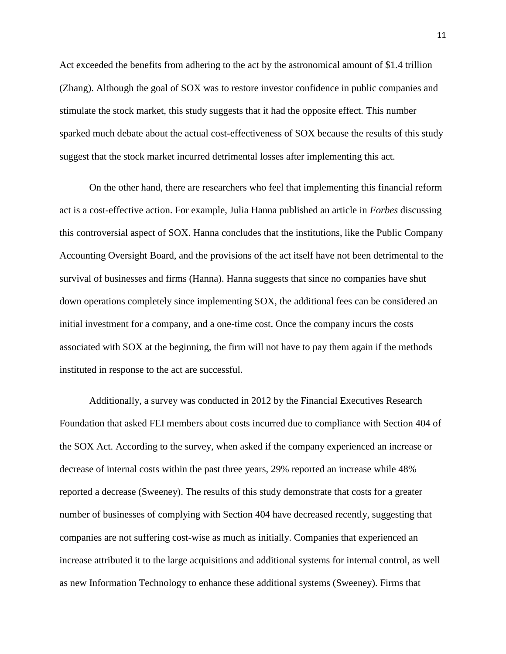Act exceeded the benefits from adhering to the act by the astronomical amount of \$1.4 trillion (Zhang). Although the goal of SOX was to restore investor confidence in public companies and stimulate the stock market, this study suggests that it had the opposite effect. This number sparked much debate about the actual cost-effectiveness of SOX because the results of this study suggest that the stock market incurred detrimental losses after implementing this act.

On the other hand, there are researchers who feel that implementing this financial reform act is a cost-effective action. For example, Julia Hanna published an article in *Forbes* discussing this controversial aspect of SOX. Hanna concludes that the institutions, like the Public Company Accounting Oversight Board, and the provisions of the act itself have not been detrimental to the survival of businesses and firms (Hanna). Hanna suggests that since no companies have shut down operations completely since implementing SOX, the additional fees can be considered an initial investment for a company, and a one-time cost. Once the company incurs the costs associated with SOX at the beginning, the firm will not have to pay them again if the methods instituted in response to the act are successful.

Additionally, a survey was conducted in 2012 by the Financial Executives Research Foundation that asked FEI members about costs incurred due to compliance with Section 404 of the SOX Act. According to the survey, when asked if the company experienced an increase or decrease of internal costs within the past three years, 29% reported an increase while 48% reported a decrease (Sweeney). The results of this study demonstrate that costs for a greater number of businesses of complying with Section 404 have decreased recently, suggesting that companies are not suffering cost-wise as much as initially. Companies that experienced an increase attributed it to the large acquisitions and additional systems for internal control, as well as new Information Technology to enhance these additional systems (Sweeney). Firms that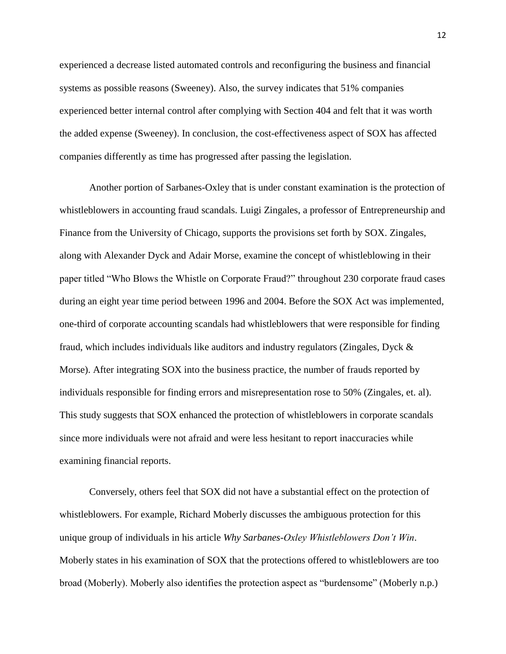experienced a decrease listed automated controls and reconfiguring the business and financial systems as possible reasons (Sweeney). Also, the survey indicates that 51% companies experienced better internal control after complying with Section 404 and felt that it was worth the added expense (Sweeney). In conclusion, the cost-effectiveness aspect of SOX has affected companies differently as time has progressed after passing the legislation.

Another portion of Sarbanes-Oxley that is under constant examination is the protection of whistleblowers in accounting fraud scandals. Luigi Zingales, a professor of Entrepreneurship and Finance from the University of Chicago, supports the provisions set forth by SOX. Zingales, along with Alexander Dyck and Adair Morse, examine the concept of whistleblowing in their paper titled "Who Blows the Whistle on Corporate Fraud?" throughout 230 corporate fraud cases during an eight year time period between 1996 and 2004. Before the SOX Act was implemented, one-third of corporate accounting scandals had whistleblowers that were responsible for finding fraud, which includes individuals like auditors and industry regulators (Zingales, Dyck & Morse). After integrating SOX into the business practice, the number of frauds reported by individuals responsible for finding errors and misrepresentation rose to 50% (Zingales, et. al). This study suggests that SOX enhanced the protection of whistleblowers in corporate scandals since more individuals were not afraid and were less hesitant to report inaccuracies while examining financial reports.

Conversely, others feel that SOX did not have a substantial effect on the protection of whistleblowers. For example, Richard Moberly discusses the ambiguous protection for this unique group of individuals in his article *Why Sarbanes-Oxley Whistleblowers Don't Win*. Moberly states in his examination of SOX that the protections offered to whistleblowers are too broad (Moberly). Moberly also identifies the protection aspect as "burdensome" (Moberly n.p.)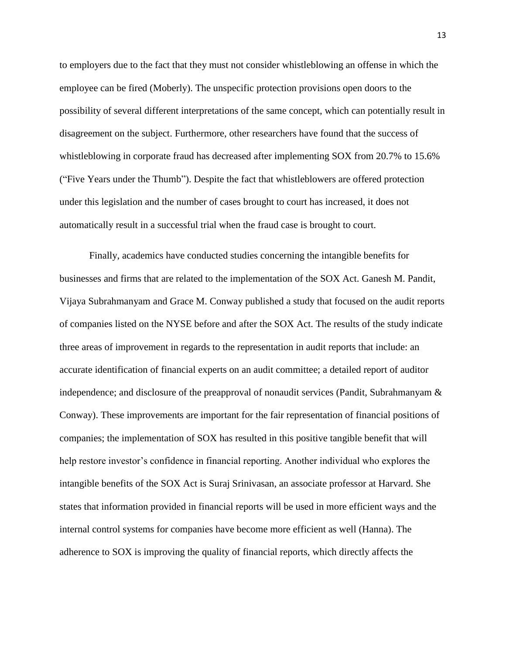to employers due to the fact that they must not consider whistleblowing an offense in which the employee can be fired (Moberly). The unspecific protection provisions open doors to the possibility of several different interpretations of the same concept, which can potentially result in disagreement on the subject. Furthermore, other researchers have found that the success of whistleblowing in corporate fraud has decreased after implementing SOX from 20.7% to 15.6% ("Five Years under the Thumb"). Despite the fact that whistleblowers are offered protection under this legislation and the number of cases brought to court has increased, it does not automatically result in a successful trial when the fraud case is brought to court.

Finally, academics have conducted studies concerning the intangible benefits for businesses and firms that are related to the implementation of the SOX Act. Ganesh M. Pandit, Vijaya Subrahmanyam and Grace M. Conway published a study that focused on the audit reports of companies listed on the NYSE before and after the SOX Act. The results of the study indicate three areas of improvement in regards to the representation in audit reports that include: an accurate identification of financial experts on an audit committee; a detailed report of auditor independence; and disclosure of the preapproval of nonaudit services (Pandit, Subrahmanyam & Conway). These improvements are important for the fair representation of financial positions of companies; the implementation of SOX has resulted in this positive tangible benefit that will help restore investor's confidence in financial reporting. Another individual who explores the intangible benefits of the SOX Act is Suraj Srinivasan, an associate professor at Harvard. She states that information provided in financial reports will be used in more efficient ways and the internal control systems for companies have become more efficient as well (Hanna). The adherence to SOX is improving the quality of financial reports, which directly affects the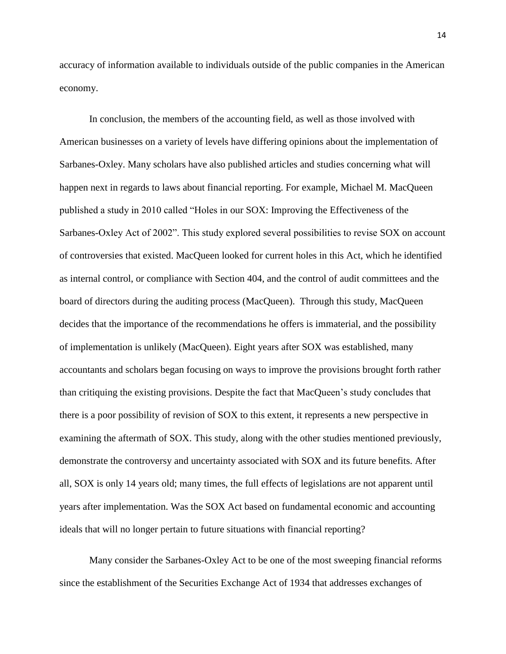accuracy of information available to individuals outside of the public companies in the American economy.

In conclusion, the members of the accounting field, as well as those involved with American businesses on a variety of levels have differing opinions about the implementation of Sarbanes-Oxley. Many scholars have also published articles and studies concerning what will happen next in regards to laws about financial reporting. For example, Michael M. MacQueen published a study in 2010 called "Holes in our SOX: Improving the Effectiveness of the Sarbanes-Oxley Act of 2002". This study explored several possibilities to revise SOX on account of controversies that existed. MacQueen looked for current holes in this Act, which he identified as internal control, or compliance with Section 404, and the control of audit committees and the board of directors during the auditing process (MacQueen). Through this study, MacQueen decides that the importance of the recommendations he offers is immaterial, and the possibility of implementation is unlikely (MacQueen). Eight years after SOX was established, many accountants and scholars began focusing on ways to improve the provisions brought forth rather than critiquing the existing provisions. Despite the fact that MacQueen's study concludes that there is a poor possibility of revision of SOX to this extent, it represents a new perspective in examining the aftermath of SOX. This study, along with the other studies mentioned previously, demonstrate the controversy and uncertainty associated with SOX and its future benefits. After all, SOX is only 14 years old; many times, the full effects of legislations are not apparent until years after implementation. Was the SOX Act based on fundamental economic and accounting ideals that will no longer pertain to future situations with financial reporting?

Many consider the Sarbanes-Oxley Act to be one of the most sweeping financial reforms since the establishment of the Securities Exchange Act of 1934 that addresses exchanges of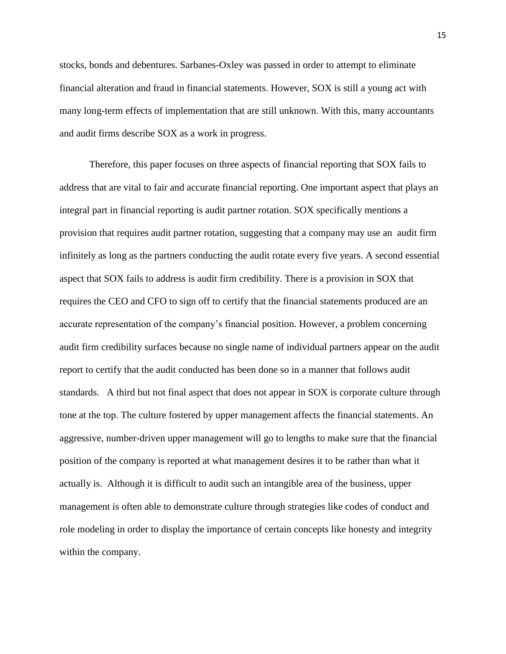stocks, bonds and debentures. Sarbanes-Oxley was passed in order to attempt to eliminate financial alteration and fraud in financial statements. However, SOX is still a young act with many long-term effects of implementation that are still unknown. With this, many accountants and audit firms describe SOX as a work in progress.

Therefore, this paper focuses on three aspects of financial reporting that SOX fails to address that are vital to fair and accurate financial reporting. One important aspect that plays an integral part in financial reporting is audit partner rotation. SOX specifically mentions a provision that requires audit partner rotation, suggesting that a company may use an audit firm infinitely as long as the partners conducting the audit rotate every five years. A second essential aspect that SOX fails to address is audit firm credibility. There is a provision in SOX that requires the CEO and CFO to sign off to certify that the financial statements produced are an accurate representation of the company's financial position. However, a problem concerning audit firm credibility surfaces because no single name of individual partners appear on the audit report to certify that the audit conducted has been done so in a manner that follows audit standards. A third but not final aspect that does not appear in SOX is corporate culture through tone at the top. The culture fostered by upper management affects the financial statements. An aggressive, number-driven upper management will go to lengths to make sure that the financial position of the company is reported at what management desires it to be rather than what it actually is. Although it is difficult to audit such an intangible area of the business, upper management is often able to demonstrate culture through strategies like codes of conduct and role modeling in order to display the importance of certain concepts like honesty and integrity within the company.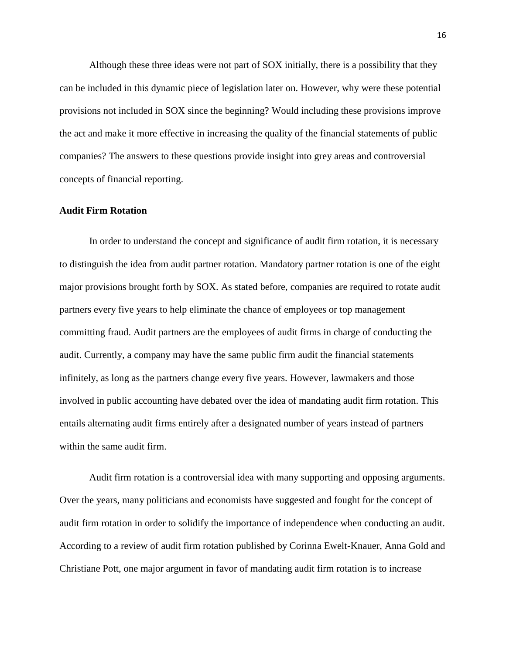Although these three ideas were not part of SOX initially, there is a possibility that they can be included in this dynamic piece of legislation later on. However, why were these potential provisions not included in SOX since the beginning? Would including these provisions improve the act and make it more effective in increasing the quality of the financial statements of public companies? The answers to these questions provide insight into grey areas and controversial concepts of financial reporting.

#### **Audit Firm Rotation**

In order to understand the concept and significance of audit firm rotation, it is necessary to distinguish the idea from audit partner rotation. Mandatory partner rotation is one of the eight major provisions brought forth by SOX. As stated before, companies are required to rotate audit partners every five years to help eliminate the chance of employees or top management committing fraud. Audit partners are the employees of audit firms in charge of conducting the audit. Currently, a company may have the same public firm audit the financial statements infinitely, as long as the partners change every five years. However, lawmakers and those involved in public accounting have debated over the idea of mandating audit firm rotation. This entails alternating audit firms entirely after a designated number of years instead of partners within the same audit firm.

Audit firm rotation is a controversial idea with many supporting and opposing arguments. Over the years, many politicians and economists have suggested and fought for the concept of audit firm rotation in order to solidify the importance of independence when conducting an audit. According to a review of audit firm rotation published by Corinna Ewelt-Knauer, Anna Gold and Christiane Pott, one major argument in favor of mandating audit firm rotation is to increase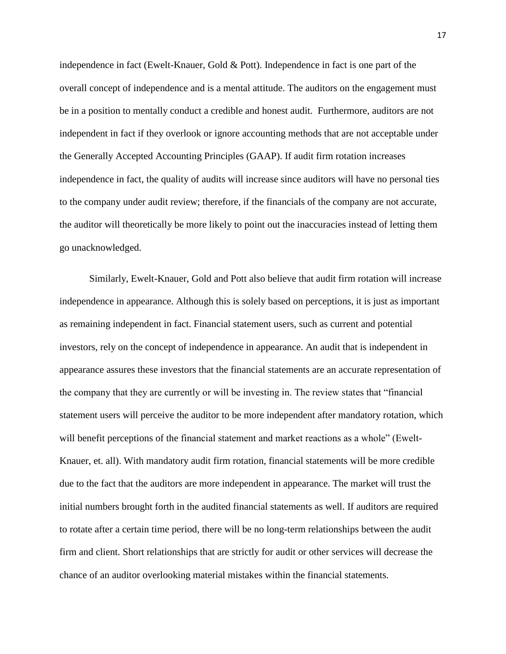independence in fact (Ewelt-Knauer, Gold & Pott). Independence in fact is one part of the overall concept of independence and is a mental attitude. The auditors on the engagement must be in a position to mentally conduct a credible and honest audit. Furthermore, auditors are not independent in fact if they overlook or ignore accounting methods that are not acceptable under the Generally Accepted Accounting Principles (GAAP). If audit firm rotation increases independence in fact, the quality of audits will increase since auditors will have no personal ties to the company under audit review; therefore, if the financials of the company are not accurate, the auditor will theoretically be more likely to point out the inaccuracies instead of letting them go unacknowledged.

Similarly, Ewelt-Knauer, Gold and Pott also believe that audit firm rotation will increase independence in appearance. Although this is solely based on perceptions, it is just as important as remaining independent in fact. Financial statement users, such as current and potential investors, rely on the concept of independence in appearance. An audit that is independent in appearance assures these investors that the financial statements are an accurate representation of the company that they are currently or will be investing in. The review states that "financial statement users will perceive the auditor to be more independent after mandatory rotation, which will benefit perceptions of the financial statement and market reactions as a whole" (Ewelt-Knauer, et. all). With mandatory audit firm rotation, financial statements will be more credible due to the fact that the auditors are more independent in appearance. The market will trust the initial numbers brought forth in the audited financial statements as well. If auditors are required to rotate after a certain time period, there will be no long-term relationships between the audit firm and client. Short relationships that are strictly for audit or other services will decrease the chance of an auditor overlooking material mistakes within the financial statements.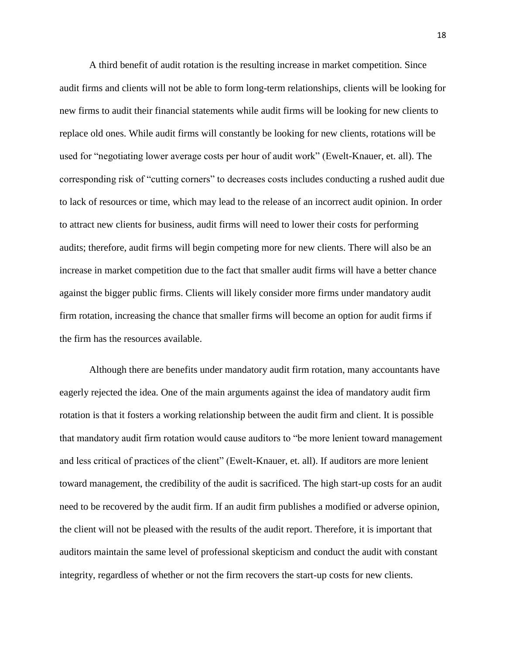A third benefit of audit rotation is the resulting increase in market competition. Since audit firms and clients will not be able to form long-term relationships, clients will be looking for new firms to audit their financial statements while audit firms will be looking for new clients to replace old ones. While audit firms will constantly be looking for new clients, rotations will be used for "negotiating lower average costs per hour of audit work" (Ewelt-Knauer, et. all). The corresponding risk of "cutting corners" to decreases costs includes conducting a rushed audit due to lack of resources or time, which may lead to the release of an incorrect audit opinion. In order to attract new clients for business, audit firms will need to lower their costs for performing audits; therefore, audit firms will begin competing more for new clients. There will also be an increase in market competition due to the fact that smaller audit firms will have a better chance against the bigger public firms. Clients will likely consider more firms under mandatory audit firm rotation, increasing the chance that smaller firms will become an option for audit firms if the firm has the resources available.

Although there are benefits under mandatory audit firm rotation, many accountants have eagerly rejected the idea. One of the main arguments against the idea of mandatory audit firm rotation is that it fosters a working relationship between the audit firm and client. It is possible that mandatory audit firm rotation would cause auditors to "be more lenient toward management and less critical of practices of the client" (Ewelt-Knauer, et. all). If auditors are more lenient toward management, the credibility of the audit is sacrificed. The high start-up costs for an audit need to be recovered by the audit firm. If an audit firm publishes a modified or adverse opinion, the client will not be pleased with the results of the audit report. Therefore, it is important that auditors maintain the same level of professional skepticism and conduct the audit with constant integrity, regardless of whether or not the firm recovers the start-up costs for new clients.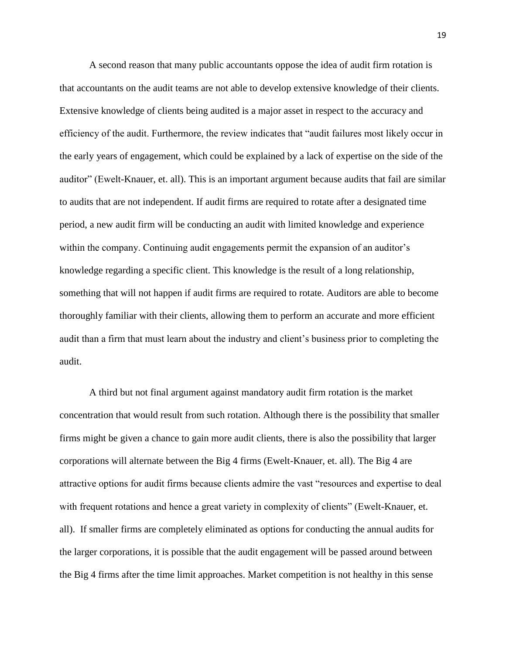A second reason that many public accountants oppose the idea of audit firm rotation is that accountants on the audit teams are not able to develop extensive knowledge of their clients. Extensive knowledge of clients being audited is a major asset in respect to the accuracy and efficiency of the audit. Furthermore, the review indicates that "audit failures most likely occur in the early years of engagement, which could be explained by a lack of expertise on the side of the auditor" (Ewelt-Knauer, et. all). This is an important argument because audits that fail are similar to audits that are not independent. If audit firms are required to rotate after a designated time period, a new audit firm will be conducting an audit with limited knowledge and experience within the company. Continuing audit engagements permit the expansion of an auditor's knowledge regarding a specific client. This knowledge is the result of a long relationship, something that will not happen if audit firms are required to rotate. Auditors are able to become thoroughly familiar with their clients, allowing them to perform an accurate and more efficient audit than a firm that must learn about the industry and client's business prior to completing the audit.

A third but not final argument against mandatory audit firm rotation is the market concentration that would result from such rotation. Although there is the possibility that smaller firms might be given a chance to gain more audit clients, there is also the possibility that larger corporations will alternate between the Big 4 firms (Ewelt-Knauer, et. all). The Big 4 are attractive options for audit firms because clients admire the vast "resources and expertise to deal with frequent rotations and hence a great variety in complexity of clients" (Ewelt-Knauer, et. all). If smaller firms are completely eliminated as options for conducting the annual audits for the larger corporations, it is possible that the audit engagement will be passed around between the Big 4 firms after the time limit approaches. Market competition is not healthy in this sense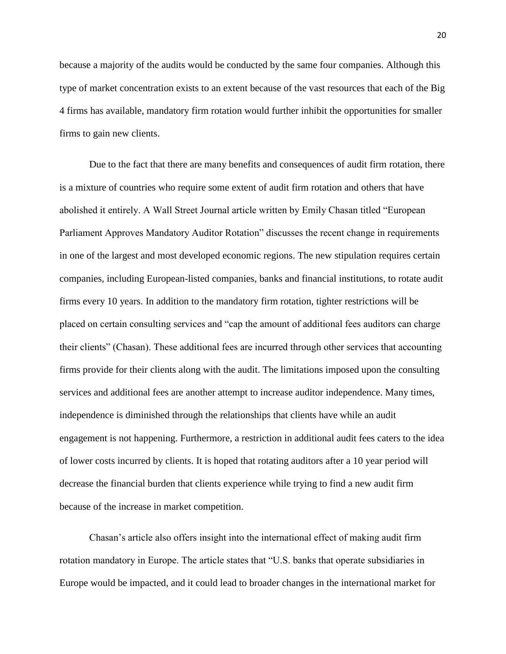because a majority of the audits would be conducted by the same four companies. Although this type of market concentration exists to an extent because of the vast resources that each of the Big 4 firms has available, mandatory firm rotation would further inhibit the opportunities for smaller firms to gain new clients.

Due to the fact that there are many benefits and consequences of audit firm rotation, there is a mixture of countries who require some extent of audit firm rotation and others that have abolished it entirely. A Wall Street Journal article written by Emily Chasan titled "European Parliament Approves Mandatory Auditor Rotation" discusses the recent change in requirements in one of the largest and most developed economic regions. The new stipulation requires certain companies, including European-listed companies, banks and financial institutions, to rotate audit firms every 10 years. In addition to the mandatory firm rotation, tighter restrictions will be placed on certain consulting services and "cap the amount of additional fees auditors can charge their clients" (Chasan). These additional fees are incurred through other services that accounting firms provide for their clients along with the audit. The limitations imposed upon the consulting services and additional fees are another attempt to increase auditor independence. Many times, independence is diminished through the relationships that clients have while an audit engagement is not happening. Furthermore, a restriction in additional audit fees caters to the idea of lower costs incurred by clients. It is hoped that rotating auditors after a 10 year period will decrease the financial burden that clients experience while trying to find a new audit firm because of the increase in market competition.

Chasan's article also offers insight into the international effect of making audit firm rotation mandatory in Europe. The article states that "U.S. banks that operate subsidiaries in Europe would be impacted, and it could lead to broader changes in the international market for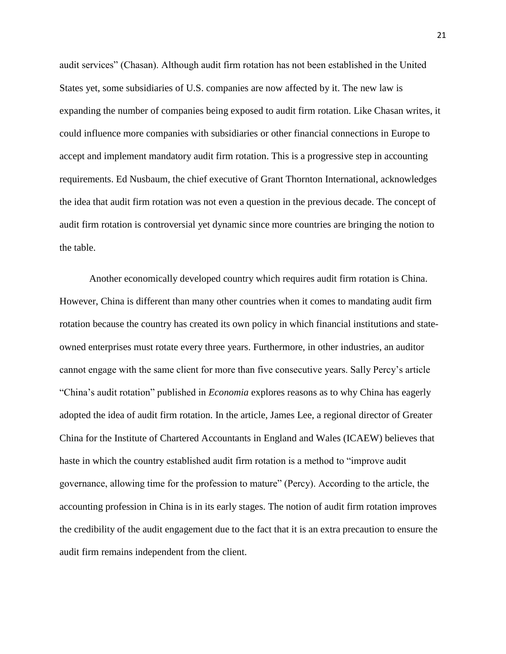audit services" (Chasan). Although audit firm rotation has not been established in the United States yet, some subsidiaries of U.S. companies are now affected by it. The new law is expanding the number of companies being exposed to audit firm rotation. Like Chasan writes, it could influence more companies with subsidiaries or other financial connections in Europe to accept and implement mandatory audit firm rotation. This is a progressive step in accounting requirements. Ed Nusbaum, the chief executive of Grant Thornton International, acknowledges the idea that audit firm rotation was not even a question in the previous decade. The concept of audit firm rotation is controversial yet dynamic since more countries are bringing the notion to the table.

Another economically developed country which requires audit firm rotation is China. However, China is different than many other countries when it comes to mandating audit firm rotation because the country has created its own policy in which financial institutions and stateowned enterprises must rotate every three years. Furthermore, in other industries, an auditor cannot engage with the same client for more than five consecutive years. Sally Percy's article "China's audit rotation" published in *Economia* explores reasons as to why China has eagerly adopted the idea of audit firm rotation. In the article, James Lee, a regional director of Greater China for the Institute of Chartered Accountants in England and Wales (ICAEW) believes that haste in which the country established audit firm rotation is a method to "improve audit governance, allowing time for the profession to mature" (Percy). According to the article, the accounting profession in China is in its early stages. The notion of audit firm rotation improves the credibility of the audit engagement due to the fact that it is an extra precaution to ensure the audit firm remains independent from the client.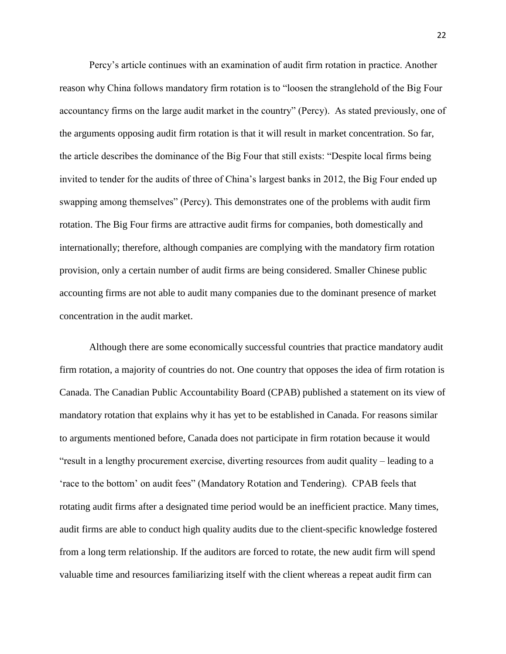Percy's article continues with an examination of audit firm rotation in practice. Another reason why China follows mandatory firm rotation is to "loosen the stranglehold of the Big Four accountancy firms on the large audit market in the country" (Percy). As stated previously, one of the arguments opposing audit firm rotation is that it will result in market concentration. So far, the article describes the dominance of the Big Four that still exists: "Despite local firms being invited to tender for the audits of three of China's largest banks in 2012, the Big Four ended up swapping among themselves" (Percy). This demonstrates one of the problems with audit firm rotation. The Big Four firms are attractive audit firms for companies, both domestically and internationally; therefore, although companies are complying with the mandatory firm rotation provision, only a certain number of audit firms are being considered. Smaller Chinese public accounting firms are not able to audit many companies due to the dominant presence of market concentration in the audit market.

Although there are some economically successful countries that practice mandatory audit firm rotation, a majority of countries do not. One country that opposes the idea of firm rotation is Canada. The Canadian Public Accountability Board (CPAB) published a statement on its view of mandatory rotation that explains why it has yet to be established in Canada. For reasons similar to arguments mentioned before, Canada does not participate in firm rotation because it would "result in a lengthy procurement exercise, diverting resources from audit quality – leading to a 'race to the bottom' on audit fees" (Mandatory Rotation and Tendering). CPAB feels that rotating audit firms after a designated time period would be an inefficient practice. Many times, audit firms are able to conduct high quality audits due to the client-specific knowledge fostered from a long term relationship. If the auditors are forced to rotate, the new audit firm will spend valuable time and resources familiarizing itself with the client whereas a repeat audit firm can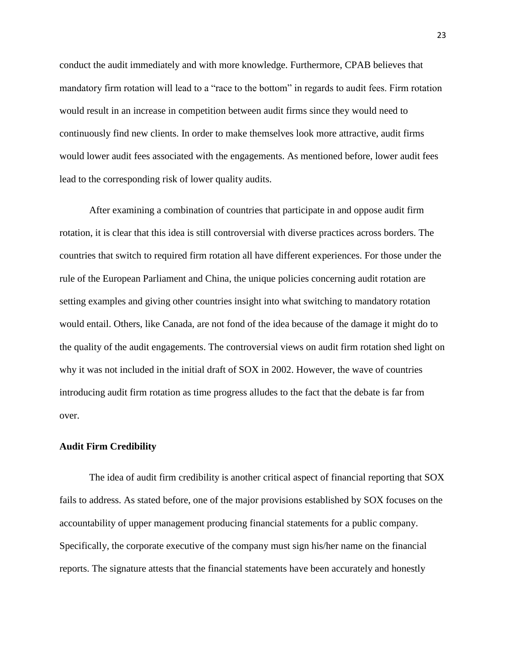conduct the audit immediately and with more knowledge. Furthermore, CPAB believes that mandatory firm rotation will lead to a "race to the bottom" in regards to audit fees. Firm rotation would result in an increase in competition between audit firms since they would need to continuously find new clients. In order to make themselves look more attractive, audit firms would lower audit fees associated with the engagements. As mentioned before, lower audit fees lead to the corresponding risk of lower quality audits.

After examining a combination of countries that participate in and oppose audit firm rotation, it is clear that this idea is still controversial with diverse practices across borders. The countries that switch to required firm rotation all have different experiences. For those under the rule of the European Parliament and China, the unique policies concerning audit rotation are setting examples and giving other countries insight into what switching to mandatory rotation would entail. Others, like Canada, are not fond of the idea because of the damage it might do to the quality of the audit engagements. The controversial views on audit firm rotation shed light on why it was not included in the initial draft of SOX in 2002. However, the wave of countries introducing audit firm rotation as time progress alludes to the fact that the debate is far from over.

#### **Audit Firm Credibility**

The idea of audit firm credibility is another critical aspect of financial reporting that SOX fails to address. As stated before, one of the major provisions established by SOX focuses on the accountability of upper management producing financial statements for a public company. Specifically, the corporate executive of the company must sign his/her name on the financial reports. The signature attests that the financial statements have been accurately and honestly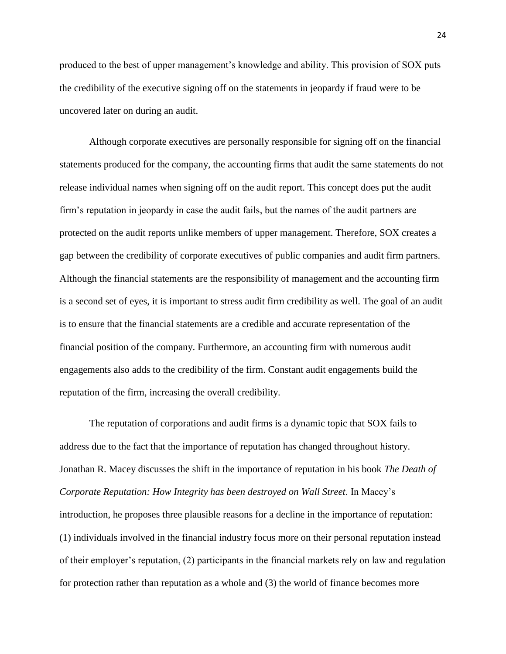produced to the best of upper management's knowledge and ability. This provision of SOX puts the credibility of the executive signing off on the statements in jeopardy if fraud were to be uncovered later on during an audit.

Although corporate executives are personally responsible for signing off on the financial statements produced for the company, the accounting firms that audit the same statements do not release individual names when signing off on the audit report. This concept does put the audit firm's reputation in jeopardy in case the audit fails, but the names of the audit partners are protected on the audit reports unlike members of upper management. Therefore, SOX creates a gap between the credibility of corporate executives of public companies and audit firm partners. Although the financial statements are the responsibility of management and the accounting firm is a second set of eyes, it is important to stress audit firm credibility as well. The goal of an audit is to ensure that the financial statements are a credible and accurate representation of the financial position of the company. Furthermore, an accounting firm with numerous audit engagements also adds to the credibility of the firm. Constant audit engagements build the reputation of the firm, increasing the overall credibility.

The reputation of corporations and audit firms is a dynamic topic that SOX fails to address due to the fact that the importance of reputation has changed throughout history. Jonathan R. Macey discusses the shift in the importance of reputation in his book *The Death of Corporate Reputation: How Integrity has been destroyed on Wall Street*. In Macey's introduction, he proposes three plausible reasons for a decline in the importance of reputation: (1) individuals involved in the financial industry focus more on their personal reputation instead of their employer's reputation, (2) participants in the financial markets rely on law and regulation for protection rather than reputation as a whole and (3) the world of finance becomes more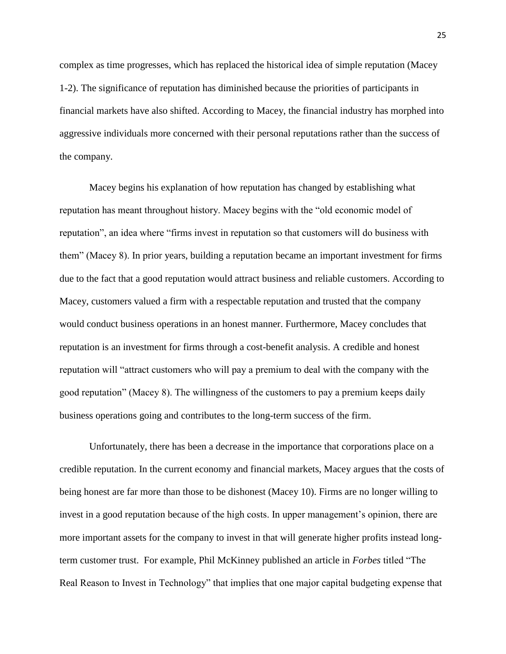complex as time progresses, which has replaced the historical idea of simple reputation (Macey 1-2). The significance of reputation has diminished because the priorities of participants in financial markets have also shifted. According to Macey, the financial industry has morphed into aggressive individuals more concerned with their personal reputations rather than the success of the company.

Macey begins his explanation of how reputation has changed by establishing what reputation has meant throughout history. Macey begins with the "old economic model of reputation", an idea where "firms invest in reputation so that customers will do business with them" (Macey 8). In prior years, building a reputation became an important investment for firms due to the fact that a good reputation would attract business and reliable customers. According to Macey, customers valued a firm with a respectable reputation and trusted that the company would conduct business operations in an honest manner. Furthermore, Macey concludes that reputation is an investment for firms through a cost-benefit analysis. A credible and honest reputation will "attract customers who will pay a premium to deal with the company with the good reputation" (Macey 8). The willingness of the customers to pay a premium keeps daily business operations going and contributes to the long-term success of the firm.

Unfortunately, there has been a decrease in the importance that corporations place on a credible reputation. In the current economy and financial markets, Macey argues that the costs of being honest are far more than those to be dishonest (Macey 10). Firms are no longer willing to invest in a good reputation because of the high costs. In upper management's opinion, there are more important assets for the company to invest in that will generate higher profits instead longterm customer trust. For example, Phil McKinney published an article in *Forbes* titled "The Real Reason to Invest in Technology" that implies that one major capital budgeting expense that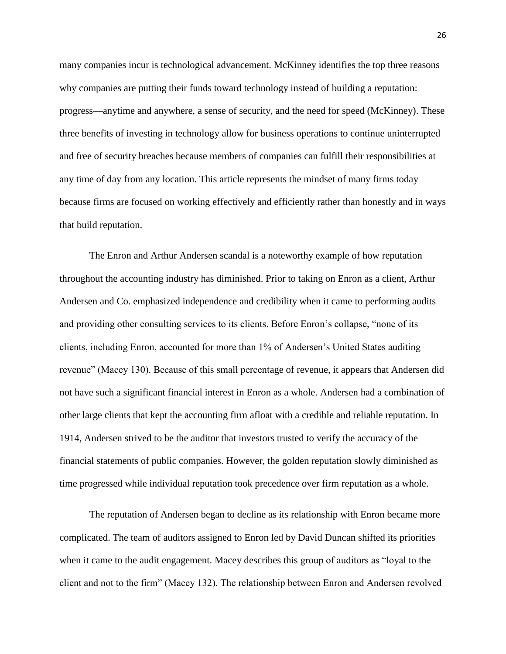many companies incur is technological advancement. McKinney identifies the top three reasons why companies are putting their funds toward technology instead of building a reputation: progress—anytime and anywhere, a sense of security, and the need for speed (McKinney). These three benefits of investing in technology allow for business operations to continue uninterrupted and free of security breaches because members of companies can fulfill their responsibilities at any time of day from any location. This article represents the mindset of many firms today because firms are focused on working effectively and efficiently rather than honestly and in ways that build reputation.

The Enron and Arthur Andersen scandal is a noteworthy example of how reputation throughout the accounting industry has diminished. Prior to taking on Enron as a client, Arthur Andersen and Co. emphasized independence and credibility when it came to performing audits and providing other consulting services to its clients. Before Enron's collapse, "none of its clients, including Enron, accounted for more than 1% of Andersen's United States auditing revenue" (Macey 130). Because of this small percentage of revenue, it appears that Andersen did not have such a significant financial interest in Enron as a whole. Andersen had a combination of other large clients that kept the accounting firm afloat with a credible and reliable reputation. In 1914, Andersen strived to be the auditor that investors trusted to verify the accuracy of the financial statements of public companies. However, the golden reputation slowly diminished as time progressed while individual reputation took precedence over firm reputation as a whole.

The reputation of Andersen began to decline as its relationship with Enron became more complicated. The team of auditors assigned to Enron led by David Duncan shifted its priorities when it came to the audit engagement. Macey describes this group of auditors as "loyal to the client and not to the firm" (Macey 132). The relationship between Enron and Andersen revolved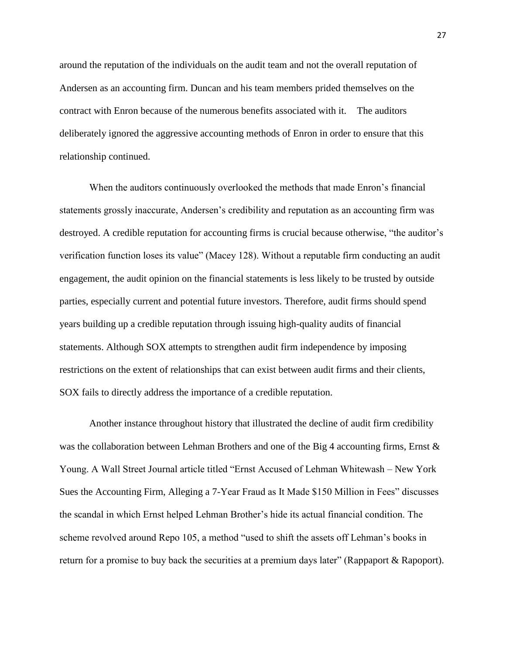around the reputation of the individuals on the audit team and not the overall reputation of Andersen as an accounting firm. Duncan and his team members prided themselves on the contract with Enron because of the numerous benefits associated with it. The auditors deliberately ignored the aggressive accounting methods of Enron in order to ensure that this relationship continued.

When the auditors continuously overlooked the methods that made Enron's financial statements grossly inaccurate, Andersen's credibility and reputation as an accounting firm was destroyed. A credible reputation for accounting firms is crucial because otherwise, "the auditor's verification function loses its value" (Macey 128). Without a reputable firm conducting an audit engagement, the audit opinion on the financial statements is less likely to be trusted by outside parties, especially current and potential future investors. Therefore, audit firms should spend years building up a credible reputation through issuing high-quality audits of financial statements. Although SOX attempts to strengthen audit firm independence by imposing restrictions on the extent of relationships that can exist between audit firms and their clients, SOX fails to directly address the importance of a credible reputation.

Another instance throughout history that illustrated the decline of audit firm credibility was the collaboration between Lehman Brothers and one of the Big 4 accounting firms, Ernst & Young. A Wall Street Journal article titled "Ernst Accused of Lehman Whitewash – New York Sues the Accounting Firm, Alleging a 7-Year Fraud as It Made \$150 Million in Fees" discusses the scandal in which Ernst helped Lehman Brother's hide its actual financial condition. The scheme revolved around Repo 105, a method "used to shift the assets off Lehman's books in return for a promise to buy back the securities at a premium days later" (Rappaport & Rapoport).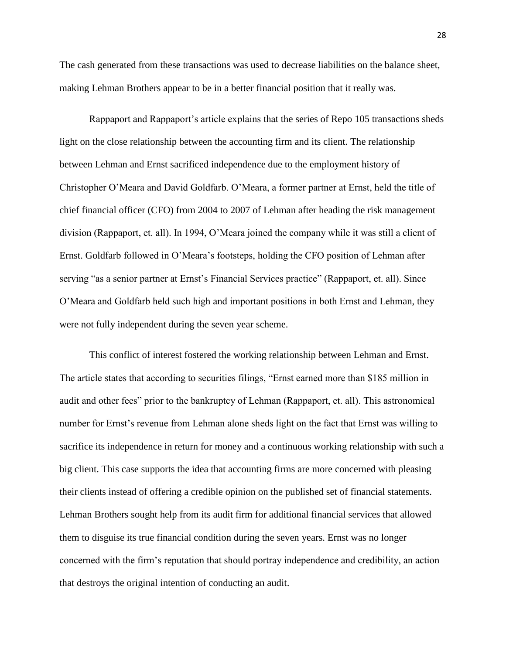The cash generated from these transactions was used to decrease liabilities on the balance sheet, making Lehman Brothers appear to be in a better financial position that it really was.

Rappaport and Rappaport's article explains that the series of Repo 105 transactions sheds light on the close relationship between the accounting firm and its client. The relationship between Lehman and Ernst sacrificed independence due to the employment history of Christopher O'Meara and David Goldfarb. O'Meara, a former partner at Ernst, held the title of chief financial officer (CFO) from 2004 to 2007 of Lehman after heading the risk management division (Rappaport, et. all). In 1994, O'Meara joined the company while it was still a client of Ernst. Goldfarb followed in O'Meara's footsteps, holding the CFO position of Lehman after serving "as a senior partner at Ernst's Financial Services practice" (Rappaport, et. all). Since O'Meara and Goldfarb held such high and important positions in both Ernst and Lehman, they were not fully independent during the seven year scheme.

This conflict of interest fostered the working relationship between Lehman and Ernst. The article states that according to securities filings, "Ernst earned more than \$185 million in audit and other fees" prior to the bankruptcy of Lehman (Rappaport, et. all). This astronomical number for Ernst's revenue from Lehman alone sheds light on the fact that Ernst was willing to sacrifice its independence in return for money and a continuous working relationship with such a big client. This case supports the idea that accounting firms are more concerned with pleasing their clients instead of offering a credible opinion on the published set of financial statements. Lehman Brothers sought help from its audit firm for additional financial services that allowed them to disguise its true financial condition during the seven years. Ernst was no longer concerned with the firm's reputation that should portray independence and credibility, an action that destroys the original intention of conducting an audit.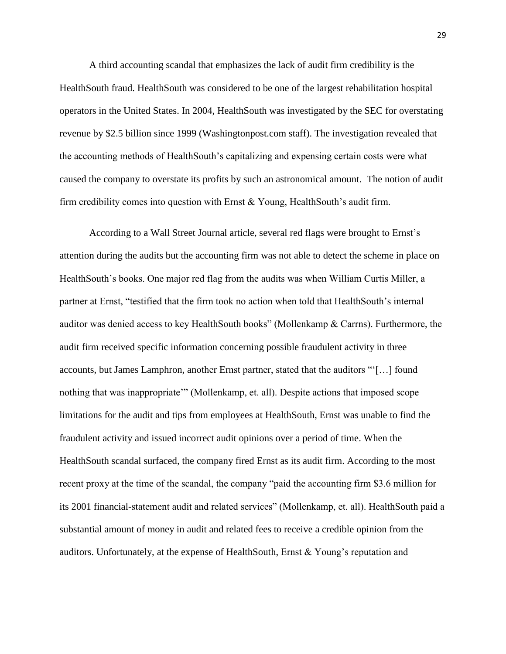A third accounting scandal that emphasizes the lack of audit firm credibility is the HealthSouth fraud. HealthSouth was considered to be one of the largest rehabilitation hospital operators in the United States. In 2004, HealthSouth was investigated by the SEC for overstating revenue by \$2.5 billion since 1999 (Washingtonpost.com staff). The investigation revealed that the accounting methods of HealthSouth's capitalizing and expensing certain costs were what caused the company to overstate its profits by such an astronomical amount. The notion of audit firm credibility comes into question with Ernst & Young, HealthSouth's audit firm.

According to a Wall Street Journal article, several red flags were brought to Ernst's attention during the audits but the accounting firm was not able to detect the scheme in place on HealthSouth's books. One major red flag from the audits was when William Curtis Miller, a partner at Ernst, "testified that the firm took no action when told that HealthSouth's internal auditor was denied access to key HealthSouth books" (Mollenkamp & Carrns). Furthermore, the audit firm received specific information concerning possible fraudulent activity in three accounts, but James Lamphron, another Ernst partner, stated that the auditors "'[…] found nothing that was inappropriate'" (Mollenkamp, et. all). Despite actions that imposed scope limitations for the audit and tips from employees at HealthSouth, Ernst was unable to find the fraudulent activity and issued incorrect audit opinions over a period of time. When the HealthSouth scandal surfaced, the company fired Ernst as its audit firm. According to the most recent proxy at the time of the scandal, the company "paid the accounting firm \$3.6 million for its 2001 financial-statement audit and related services" (Mollenkamp, et. all). HealthSouth paid a substantial amount of money in audit and related fees to receive a credible opinion from the auditors. Unfortunately, at the expense of HealthSouth, Ernst & Young's reputation and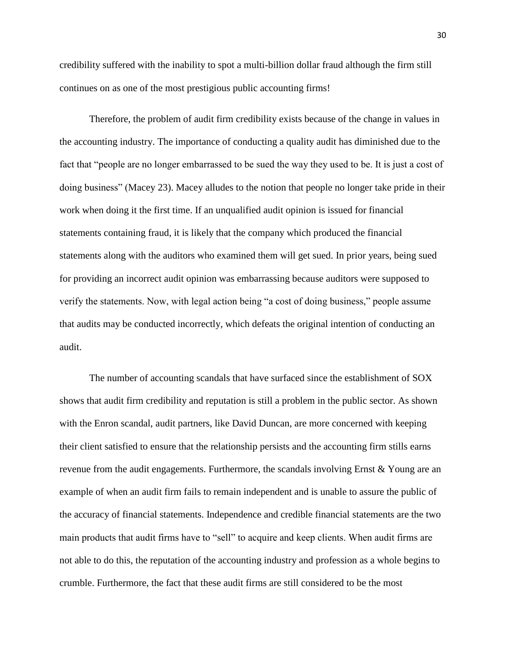credibility suffered with the inability to spot a multi-billion dollar fraud although the firm still continues on as one of the most prestigious public accounting firms!

Therefore, the problem of audit firm credibility exists because of the change in values in the accounting industry. The importance of conducting a quality audit has diminished due to the fact that "people are no longer embarrassed to be sued the way they used to be. It is just a cost of doing business" (Macey 23). Macey alludes to the notion that people no longer take pride in their work when doing it the first time. If an unqualified audit opinion is issued for financial statements containing fraud, it is likely that the company which produced the financial statements along with the auditors who examined them will get sued. In prior years, being sued for providing an incorrect audit opinion was embarrassing because auditors were supposed to verify the statements. Now, with legal action being "a cost of doing business," people assume that audits may be conducted incorrectly, which defeats the original intention of conducting an audit.

The number of accounting scandals that have surfaced since the establishment of SOX shows that audit firm credibility and reputation is still a problem in the public sector. As shown with the Enron scandal, audit partners, like David Duncan, are more concerned with keeping their client satisfied to ensure that the relationship persists and the accounting firm stills earns revenue from the audit engagements. Furthermore, the scandals involving Ernst  $\&$  Young are an example of when an audit firm fails to remain independent and is unable to assure the public of the accuracy of financial statements. Independence and credible financial statements are the two main products that audit firms have to "sell" to acquire and keep clients. When audit firms are not able to do this, the reputation of the accounting industry and profession as a whole begins to crumble. Furthermore, the fact that these audit firms are still considered to be the most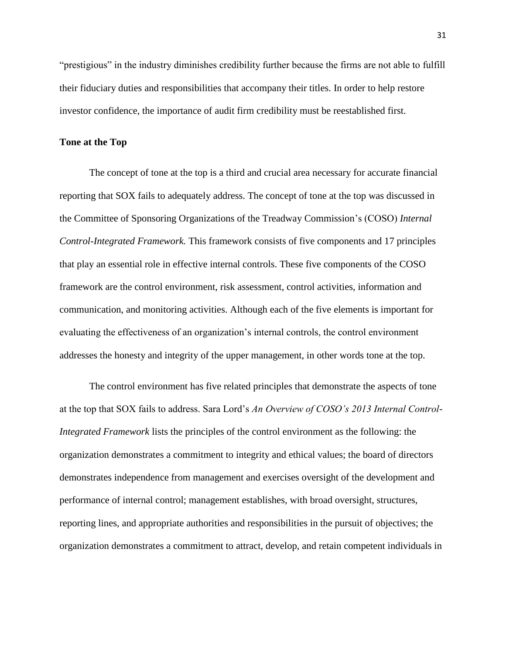"prestigious" in the industry diminishes credibility further because the firms are not able to fulfill their fiduciary duties and responsibilities that accompany their titles. In order to help restore investor confidence, the importance of audit firm credibility must be reestablished first.

#### **Tone at the Top**

The concept of tone at the top is a third and crucial area necessary for accurate financial reporting that SOX fails to adequately address. The concept of tone at the top was discussed in the Committee of Sponsoring Organizations of the Treadway Commission's (COSO) *Internal Control-Integrated Framework.* This framework consists of five components and 17 principles that play an essential role in effective internal controls. These five components of the COSO framework are the control environment, risk assessment, control activities, information and communication, and monitoring activities. Although each of the five elements is important for evaluating the effectiveness of an organization's internal controls, the control environment addresses the honesty and integrity of the upper management, in other words tone at the top.

The control environment has five related principles that demonstrate the aspects of tone at the top that SOX fails to address. Sara Lord's *An Overview of COSO's 2013 Internal Control-Integrated Framework* lists the principles of the control environment as the following: the organization demonstrates a commitment to integrity and ethical values; the board of directors demonstrates independence from management and exercises oversight of the development and performance of internal control; management establishes, with broad oversight, structures, reporting lines, and appropriate authorities and responsibilities in the pursuit of objectives; the organization demonstrates a commitment to attract, develop, and retain competent individuals in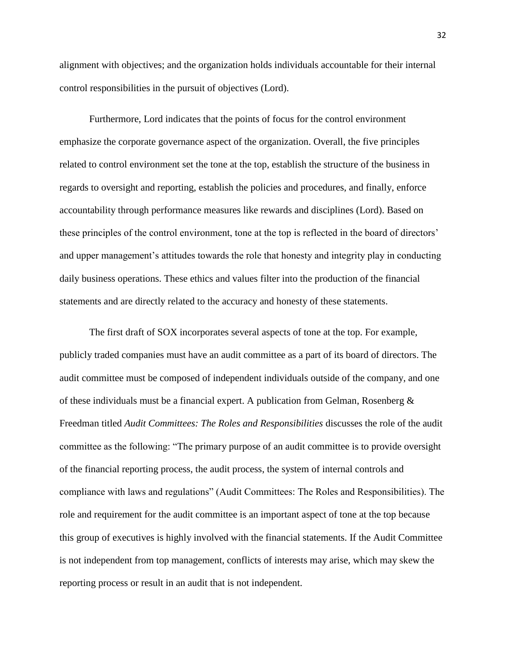alignment with objectives; and the organization holds individuals accountable for their internal control responsibilities in the pursuit of objectives (Lord).

Furthermore, Lord indicates that the points of focus for the control environment emphasize the corporate governance aspect of the organization. Overall, the five principles related to control environment set the tone at the top, establish the structure of the business in regards to oversight and reporting, establish the policies and procedures, and finally, enforce accountability through performance measures like rewards and disciplines (Lord). Based on these principles of the control environment, tone at the top is reflected in the board of directors' and upper management's attitudes towards the role that honesty and integrity play in conducting daily business operations. These ethics and values filter into the production of the financial statements and are directly related to the accuracy and honesty of these statements.

The first draft of SOX incorporates several aspects of tone at the top. For example, publicly traded companies must have an audit committee as a part of its board of directors. The audit committee must be composed of independent individuals outside of the company, and one of these individuals must be a financial expert. A publication from Gelman, Rosenberg  $\&$ Freedman titled *Audit Committees: The Roles and Responsibilities* discusses the role of the audit committee as the following: "The primary purpose of an audit committee is to provide oversight of the financial reporting process, the audit process, the system of internal controls and compliance with laws and regulations" (Audit Committees: The Roles and Responsibilities). The role and requirement for the audit committee is an important aspect of tone at the top because this group of executives is highly involved with the financial statements. If the Audit Committee is not independent from top management, conflicts of interests may arise, which may skew the reporting process or result in an audit that is not independent.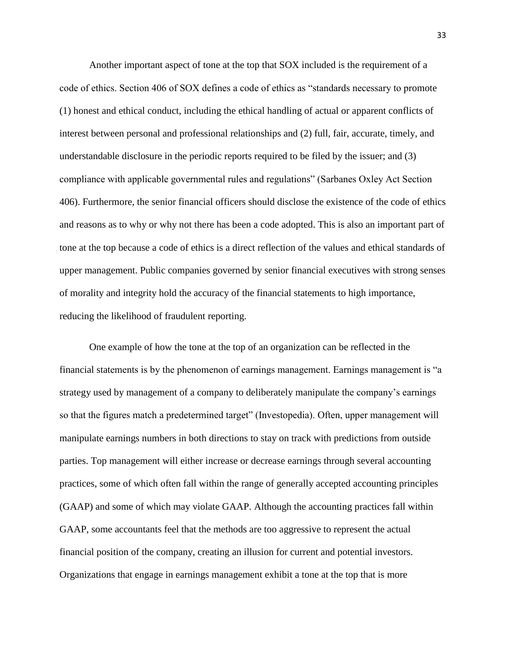Another important aspect of tone at the top that SOX included is the requirement of a code of ethics. Section 406 of SOX defines a code of ethics as "standards necessary to promote (1) honest and ethical conduct, including the ethical handling of actual or apparent conflicts of interest between personal and professional relationships and (2) full, fair, accurate, timely, and understandable disclosure in the periodic reports required to be filed by the issuer; and (3) compliance with applicable governmental rules and regulations" (Sarbanes Oxley Act Section 406). Furthermore, the senior financial officers should disclose the existence of the code of ethics and reasons as to why or why not there has been a code adopted. This is also an important part of tone at the top because a code of ethics is a direct reflection of the values and ethical standards of upper management. Public companies governed by senior financial executives with strong senses of morality and integrity hold the accuracy of the financial statements to high importance, reducing the likelihood of fraudulent reporting.

One example of how the tone at the top of an organization can be reflected in the financial statements is by the phenomenon of earnings management. Earnings management is "a strategy used by management of a company to deliberately manipulate the company's earnings so that the figures match a predetermined target" (Investopedia). Often, upper management will manipulate earnings numbers in both directions to stay on track with predictions from outside parties. Top management will either increase or decrease earnings through several accounting practices, some of which often fall within the range of generally accepted accounting principles (GAAP) and some of which may violate GAAP. Although the accounting practices fall within GAAP, some accountants feel that the methods are too aggressive to represent the actual financial position of the company, creating an illusion for current and potential investors. Organizations that engage in earnings management exhibit a tone at the top that is more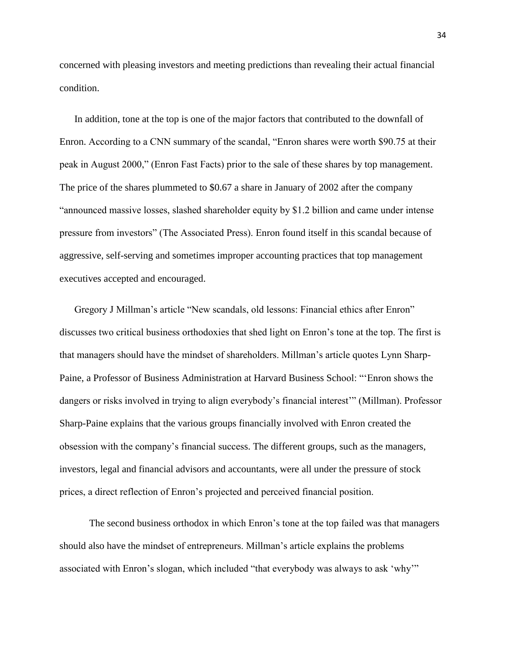concerned with pleasing investors and meeting predictions than revealing their actual financial condition.

In addition, tone at the top is one of the major factors that contributed to the downfall of Enron. According to a CNN summary of the scandal, "Enron shares were worth \$90.75 at their peak in August 2000," (Enron Fast Facts) prior to the sale of these shares by top management. The price of the shares plummeted to \$0.67 a share in January of 2002 after the company "announced massive losses, slashed shareholder equity by \$1.2 billion and came under intense pressure from investors" (The Associated Press). Enron found itself in this scandal because of aggressive, self-serving and sometimes improper accounting practices that top management executives accepted and encouraged.

Gregory J Millman's article "New scandals, old lessons: Financial ethics after Enron" discusses two critical business orthodoxies that shed light on Enron's tone at the top. The first is that managers should have the mindset of shareholders. Millman's article quotes Lynn Sharp-Paine, a Professor of Business Administration at Harvard Business School: "'Enron shows the dangers or risks involved in trying to align everybody's financial interest'" (Millman). Professor Sharp-Paine explains that the various groups financially involved with Enron created the obsession with the company's financial success. The different groups, such as the managers, investors, legal and financial advisors and accountants, were all under the pressure of stock prices, a direct reflection of Enron's projected and perceived financial position.

The second business orthodox in which Enron's tone at the top failed was that managers should also have the mindset of entrepreneurs. Millman's article explains the problems associated with Enron's slogan, which included "that everybody was always to ask 'why'"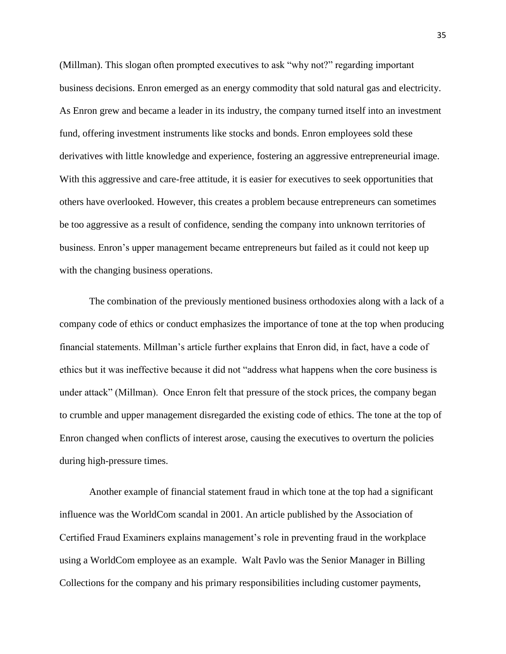(Millman). This slogan often prompted executives to ask "why not?" regarding important business decisions. Enron emerged as an energy commodity that sold natural gas and electricity. As Enron grew and became a leader in its industry, the company turned itself into an investment fund, offering investment instruments like stocks and bonds. Enron employees sold these derivatives with little knowledge and experience, fostering an aggressive entrepreneurial image. With this aggressive and care-free attitude, it is easier for executives to seek opportunities that others have overlooked. However, this creates a problem because entrepreneurs can sometimes be too aggressive as a result of confidence, sending the company into unknown territories of business. Enron's upper management became entrepreneurs but failed as it could not keep up with the changing business operations.

The combination of the previously mentioned business orthodoxies along with a lack of a company code of ethics or conduct emphasizes the importance of tone at the top when producing financial statements. Millman's article further explains that Enron did, in fact, have a code of ethics but it was ineffective because it did not "address what happens when the core business is under attack" (Millman). Once Enron felt that pressure of the stock prices, the company began to crumble and upper management disregarded the existing code of ethics. The tone at the top of Enron changed when conflicts of interest arose, causing the executives to overturn the policies during high-pressure times.

Another example of financial statement fraud in which tone at the top had a significant influence was the WorldCom scandal in 2001. An article published by the Association of Certified Fraud Examiners explains management's role in preventing fraud in the workplace using a WorldCom employee as an example. Walt Pavlo was the Senior Manager in Billing Collections for the company and his primary responsibilities including customer payments,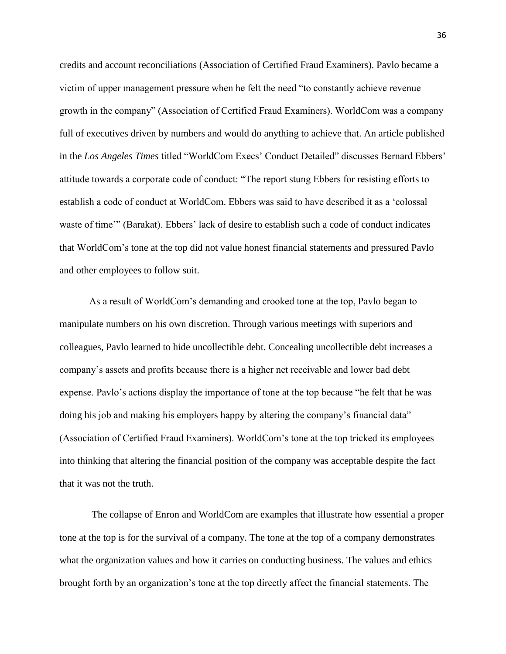credits and account reconciliations (Association of Certified Fraud Examiners). Pavlo became a victim of upper management pressure when he felt the need "to constantly achieve revenue growth in the company" (Association of Certified Fraud Examiners). WorldCom was a company full of executives driven by numbers and would do anything to achieve that. An article published in the *Los Angeles Times* titled "WorldCom Execs' Conduct Detailed" discusses Bernard Ebbers' attitude towards a corporate code of conduct: "The report stung Ebbers for resisting efforts to establish a code of conduct at WorldCom. Ebbers was said to have described it as a 'colossal waste of time'" (Barakat). Ebbers' lack of desire to establish such a code of conduct indicates that WorldCom's tone at the top did not value honest financial statements and pressured Pavlo and other employees to follow suit.

As a result of WorldCom's demanding and crooked tone at the top, Pavlo began to manipulate numbers on his own discretion. Through various meetings with superiors and colleagues, Pavlo learned to hide uncollectible debt. Concealing uncollectible debt increases a company's assets and profits because there is a higher net receivable and lower bad debt expense. Pavlo's actions display the importance of tone at the top because "he felt that he was doing his job and making his employers happy by altering the company's financial data" (Association of Certified Fraud Examiners). WorldCom's tone at the top tricked its employees into thinking that altering the financial position of the company was acceptable despite the fact that it was not the truth.

The collapse of Enron and WorldCom are examples that illustrate how essential a proper tone at the top is for the survival of a company. The tone at the top of a company demonstrates what the organization values and how it carries on conducting business. The values and ethics brought forth by an organization's tone at the top directly affect the financial statements. The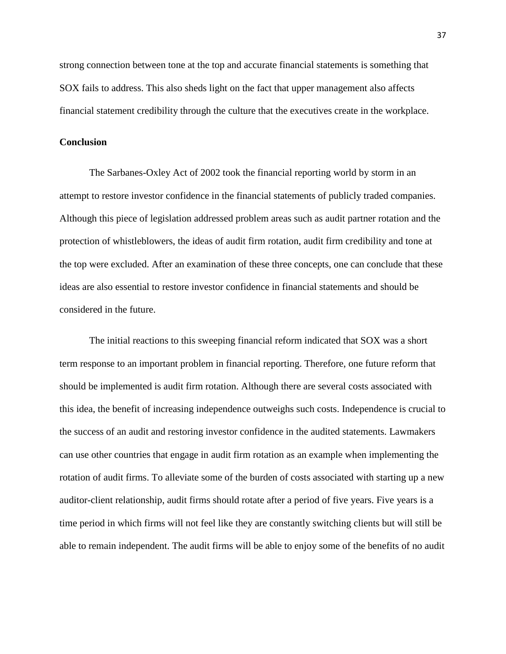strong connection between tone at the top and accurate financial statements is something that SOX fails to address. This also sheds light on the fact that upper management also affects financial statement credibility through the culture that the executives create in the workplace.

#### **Conclusion**

The Sarbanes-Oxley Act of 2002 took the financial reporting world by storm in an attempt to restore investor confidence in the financial statements of publicly traded companies. Although this piece of legislation addressed problem areas such as audit partner rotation and the protection of whistleblowers, the ideas of audit firm rotation, audit firm credibility and tone at the top were excluded. After an examination of these three concepts, one can conclude that these ideas are also essential to restore investor confidence in financial statements and should be considered in the future.

The initial reactions to this sweeping financial reform indicated that SOX was a short term response to an important problem in financial reporting. Therefore, one future reform that should be implemented is audit firm rotation. Although there are several costs associated with this idea, the benefit of increasing independence outweighs such costs. Independence is crucial to the success of an audit and restoring investor confidence in the audited statements. Lawmakers can use other countries that engage in audit firm rotation as an example when implementing the rotation of audit firms. To alleviate some of the burden of costs associated with starting up a new auditor-client relationship, audit firms should rotate after a period of five years. Five years is a time period in which firms will not feel like they are constantly switching clients but will still be able to remain independent. The audit firms will be able to enjoy some of the benefits of no audit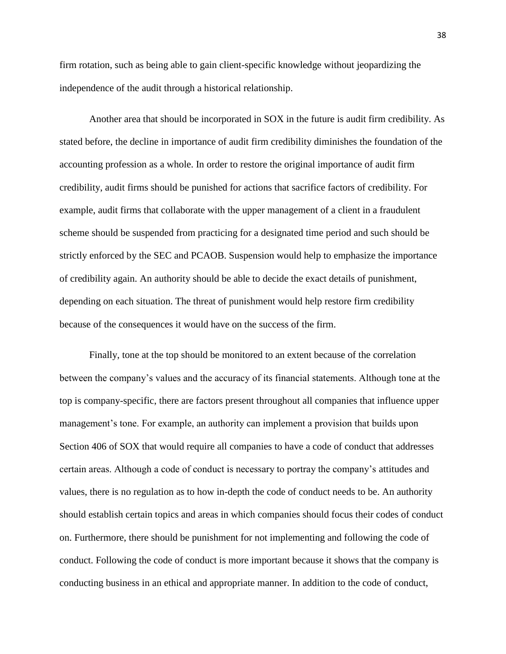firm rotation, such as being able to gain client-specific knowledge without jeopardizing the independence of the audit through a historical relationship.

Another area that should be incorporated in SOX in the future is audit firm credibility. As stated before, the decline in importance of audit firm credibility diminishes the foundation of the accounting profession as a whole. In order to restore the original importance of audit firm credibility, audit firms should be punished for actions that sacrifice factors of credibility. For example, audit firms that collaborate with the upper management of a client in a fraudulent scheme should be suspended from practicing for a designated time period and such should be strictly enforced by the SEC and PCAOB. Suspension would help to emphasize the importance of credibility again. An authority should be able to decide the exact details of punishment, depending on each situation. The threat of punishment would help restore firm credibility because of the consequences it would have on the success of the firm.

Finally, tone at the top should be monitored to an extent because of the correlation between the company's values and the accuracy of its financial statements. Although tone at the top is company-specific, there are factors present throughout all companies that influence upper management's tone. For example, an authority can implement a provision that builds upon Section 406 of SOX that would require all companies to have a code of conduct that addresses certain areas. Although a code of conduct is necessary to portray the company's attitudes and values, there is no regulation as to how in-depth the code of conduct needs to be. An authority should establish certain topics and areas in which companies should focus their codes of conduct on. Furthermore, there should be punishment for not implementing and following the code of conduct. Following the code of conduct is more important because it shows that the company is conducting business in an ethical and appropriate manner. In addition to the code of conduct,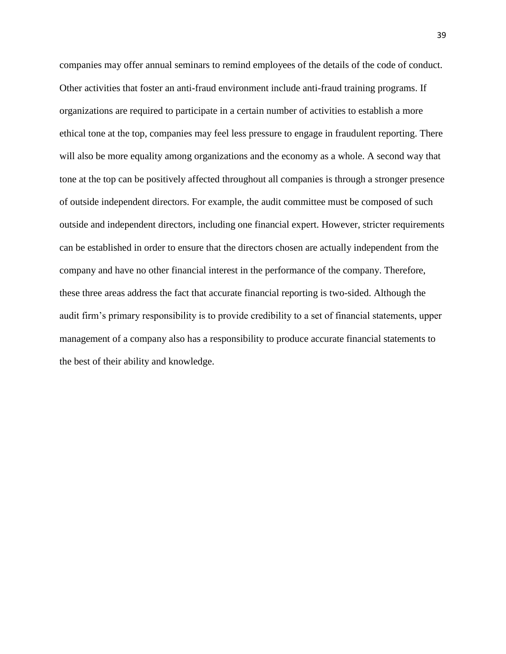companies may offer annual seminars to remind employees of the details of the code of conduct. Other activities that foster an anti-fraud environment include anti-fraud training programs. If organizations are required to participate in a certain number of activities to establish a more ethical tone at the top, companies may feel less pressure to engage in fraudulent reporting. There will also be more equality among organizations and the economy as a whole. A second way that tone at the top can be positively affected throughout all companies is through a stronger presence of outside independent directors. For example, the audit committee must be composed of such outside and independent directors, including one financial expert. However, stricter requirements can be established in order to ensure that the directors chosen are actually independent from the company and have no other financial interest in the performance of the company. Therefore, these three areas address the fact that accurate financial reporting is two-sided. Although the audit firm's primary responsibility is to provide credibility to a set of financial statements, upper management of a company also has a responsibility to produce accurate financial statements to the best of their ability and knowledge.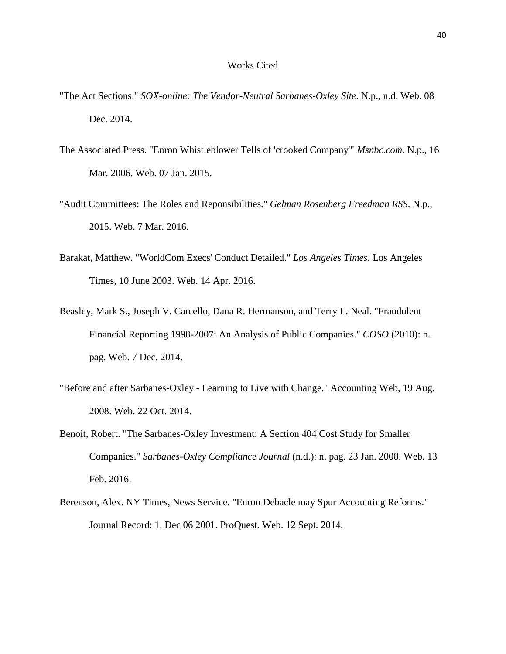#### Works Cited

- "The Act Sections." *SOX-online: The Vendor-Neutral Sarbanes-Oxley Site*. N.p., n.d. Web. 08 Dec. 2014.
- The Associated Press. "Enron Whistleblower Tells of 'crooked Company'" *Msnbc.com*. N.p., 16 Mar. 2006. Web. 07 Jan. 2015.
- "Audit Committees: The Roles and Reponsibilities." *Gelman Rosenberg Freedman RSS*. N.p., 2015. Web. 7 Mar. 2016.
- Barakat, Matthew. "WorldCom Execs' Conduct Detailed." *Los Angeles Times*. Los Angeles Times, 10 June 2003. Web. 14 Apr. 2016.
- Beasley, Mark S., Joseph V. Carcello, Dana R. Hermanson, and Terry L. Neal. "Fraudulent Financial Reporting 1998-2007: An Analysis of Public Companies." *COSO* (2010): n. pag. Web. 7 Dec. 2014.
- "Before and after Sarbanes-Oxley Learning to Live with Change." Accounting Web, 19 Aug. 2008. Web. 22 Oct. 2014.
- Benoit, Robert. "The Sarbanes-Oxley Investment: A Section 404 Cost Study for Smaller Companies." *Sarbanes-Oxley Compliance Journal* (n.d.): n. pag. 23 Jan. 2008. Web. 13 Feb. 2016.
- Berenson, Alex. NY Times, News Service. "Enron Debacle may Spur Accounting Reforms." Journal Record: 1. Dec 06 2001. ProQuest. Web. 12 Sept. 2014.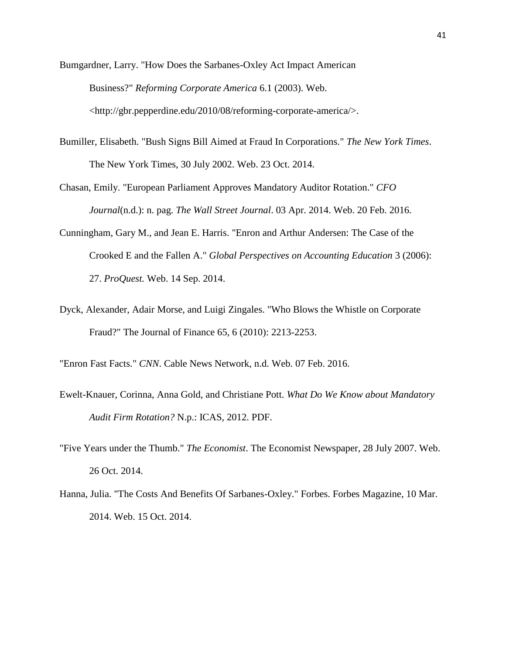Bumgardner, Larry. "How Does the Sarbanes-Oxley Act Impact American Business?" *Reforming Corporate America* 6.1 (2003). Web. <http://gbr.pepperdine.edu/2010/08/reforming-corporate-america/>.

Bumiller, Elisabeth. "Bush Signs Bill Aimed at Fraud In Corporations." *The New York Times*. The New York Times, 30 July 2002. Web. 23 Oct. 2014.

Chasan, Emily. "European Parliament Approves Mandatory Auditor Rotation." *CFO Journal*(n.d.): n. pag. *The Wall Street Journal*. 03 Apr. 2014. Web. 20 Feb. 2016.

- Cunningham, Gary M., and Jean E. Harris. "Enron and Arthur Andersen: The Case of the Crooked E and the Fallen A." *Global Perspectives on Accounting Education* 3 (2006): 27. *ProQuest.* Web. 14 Sep. 2014.
- Dyck, Alexander, Adair Morse, and Luigi Zingales. "Who Blows the Whistle on Corporate Fraud?" The Journal of Finance 65, 6 (2010): 2213-2253.

"Enron Fast Facts." *CNN*. Cable News Network, n.d. Web. 07 Feb. 2016.

- Ewelt-Knauer, Corinna, Anna Gold, and Christiane Pott. *What Do We Know about Mandatory Audit Firm Rotation?* N.p.: ICAS, 2012. PDF.
- "Five Years under the Thumb." *The Economist*. The Economist Newspaper, 28 July 2007. Web. 26 Oct. 2014.
- Hanna, Julia. "The Costs And Benefits Of Sarbanes-Oxley." Forbes. Forbes Magazine, 10 Mar. 2014. Web. 15 Oct. 2014.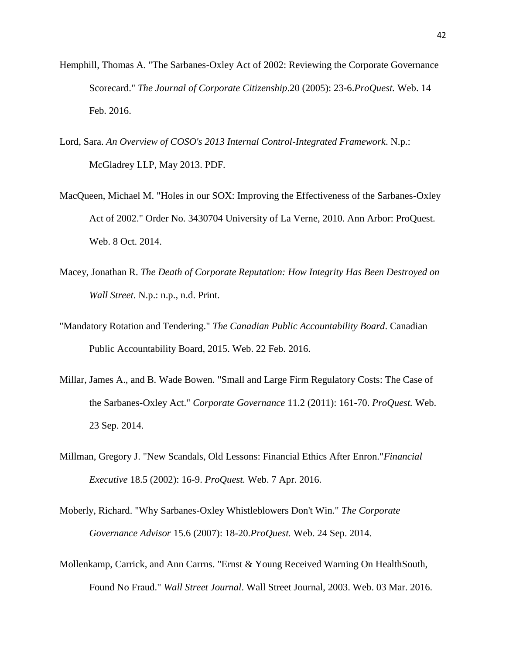- Hemphill, Thomas A. "The Sarbanes-Oxley Act of 2002: Reviewing the Corporate Governance Scorecard." *The Journal of Corporate Citizenship*.20 (2005): 23-6.*ProQuest.* Web. 14 Feb. 2016.
- Lord, Sara. *An Overview of COSO's 2013 Internal Control-Integrated Framework*. N.p.: McGladrey LLP, May 2013. PDF.
- MacQueen, Michael M. "Holes in our SOX: Improving the Effectiveness of the Sarbanes-Oxley Act of 2002." Order No. 3430704 University of La Verne, 2010. Ann Arbor: ProQuest. Web. 8 Oct. 2014.
- Macey, Jonathan R. *The Death of Corporate Reputation: How Integrity Has Been Destroyed on Wall Street*. N.p.: n.p., n.d. Print.
- "Mandatory Rotation and Tendering." *The Canadian Public Accountability Board*. Canadian Public Accountability Board, 2015. Web. 22 Feb. 2016.
- Millar, James A., and B. Wade Bowen. "Small and Large Firm Regulatory Costs: The Case of the Sarbanes-Oxley Act." *Corporate Governance* 11.2 (2011): 161-70. *ProQuest.* Web. 23 Sep. 2014.
- Millman, Gregory J. "New Scandals, Old Lessons: Financial Ethics After Enron."*Financial Executive* 18.5 (2002): 16-9. *ProQuest.* Web. 7 Apr. 2016.
- Moberly, Richard. "Why Sarbanes-Oxley Whistleblowers Don't Win." *The Corporate Governance Advisor* 15.6 (2007): 18-20.*ProQuest.* Web. 24 Sep. 2014.
- Mollenkamp, Carrick, and Ann Carrns. "Ernst & Young Received Warning On HealthSouth, Found No Fraud." *Wall Street Journal*. Wall Street Journal, 2003. Web. 03 Mar. 2016.